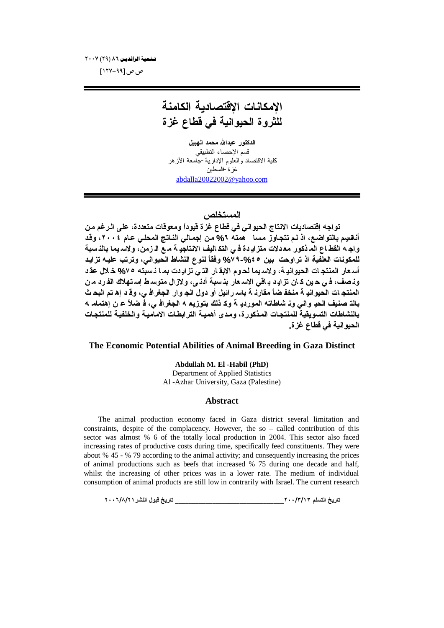تسلمية الرافديين ٦٦ (٢٩) ٢٠٠٧

ص ص [۹۹-۱۲۷]

# الامكانات الا<sup>قتصادية</sup> الكامنة للثروة الحيوانية ف*ي* قطاع غزة

ا**لدكتور عبدالله محمد الهبيل** قسم الإحصاء التطبيقي كلية الاقتصاد والعلوم الإدارية-جامعة الأزهر غز ة-فلسطين abdalla20022002@yahoo.com

### ا**لمستخلص**

تواجه إقتصاديات الانتاج الحيواني في قطاع غزة قيوداً ومعوقات متعددة، على الرغم من أ**نـقسِم بالتواضـع، اذ لـم تتجـاوز مـسا همته 7% من إجمـالي النـاتـج المحلـي عـام ٢٠٠٤، وقد** واجـ 4 القطـاع المـ ذكور مـ2 دلات متز ادِ دة فـي التكـ اليف الانتاجدِ 4 مـ ع الـ زمن، ولاسـ يمـا بـالذ سبة **للمكونات العلفية اذ تراوحت بين 2 26⁄6-4 √% وفقاً لنوع النشاط الحيواني، وترتب عليــه تزايـد** أسعار المنتجات الحيوانية، ولاسهما لحوم الابقار الذي تزايـدت بمـا نـسبته ٧٥% خـلال عقـد وذصف، في حين كان تزايد باقي الاسـ عار بذسبة أدنـي، ولازال متوسـ ط إسـ تـهلاك الفـرد مـ ن المنتجـات الحيوانيـ ﺔ منخفـ ضـًّا مقارنـ ﺔ باسـ رائيل أو دول الجـ وار الجغرافـ ي، وقـ د إهـ تم البحـ ث بالة صنيف الحدٍ واني وذ شاطاته المورددٍ ﺔ وﻛ ذلك بتوزيع 4 الجغرافـ ي، فـ ضلاً عـ ن إهتمامـ 4 بالنشاطات التسويقية للمنتجات المذكورة، ومدى أهميـة الترابطـات الاماميـة والخلفيـة للمنتجـات الحيو انية ف*ي* قطاع غز ة.

#### **The Economic Potential Abilities of Animal Breeding in Gaza Distinct**

**Abdullah M. El -Habil (PhD)**

Department of Applied Statistics Al -Azhar University, Gaza (Palestine)

#### **Abstract**

The animal production economy faced in Gaza district several limitation and constraints, despite of the complacency. However, the so – called contribution of this sector was almost % 6 of the totally local production in 2004. This sector also faced increasing rates of productive costs during time, specifically feed constituents. They were about % 45 - % 79 according to the animal activity; and consequently increasing the prices of animal productions such as beefs that increased % 75 during one decade and half, whilst the increasing of other prices was in a lower rate. The medium of individual consumption of animal products are still low in contrarily with Israel. The current research

**ÏÍÍÓ/Õ/ÏÎŧŬƈƃŒ¾ƍŕſţƒŧœř \_\_\_\_\_\_\_\_\_\_\_\_\_\_\_\_\_\_\_\_\_\_\_\_\_\_\_\_\_\_\_\_ÏÍÍ/Ð/ÎÐƅƄŪřƃŒţƒŧœř**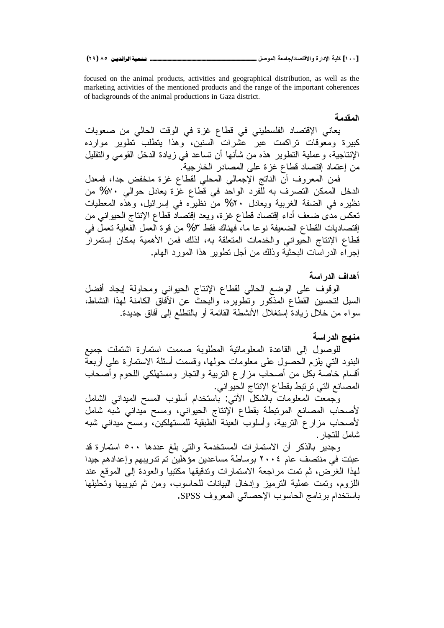focused on the animal products, activities and geographical distribution, as well as the marketing activities of the mentioned products and the range of the important coherences of backgrounds of the animal productions in Gaza district.

المقدمة

يعاني الإقتصاد الفلسطيني في قطاع غزة في الوقت الحالي من صعوبات كبيرة ومعوفات تراكمت عبر عشرات السنين، وهذا يتطلب تطوير موارده الإنتاجية، وعملية النطوير هذه من شأنها أن نساعد في زيادة الدخل القومي والنقليل من إعتماد إقتصاد قطاع غز ة على المصادر الخار جبة.

فمن المعروف أنّ الناتج الإجمالي المحلي لقطاع غزة منخفض جدا، فمعدل الدخل الممكن التصرف به للفرد الواحد في قطاع غزة يعادل حوالي ٧٠% من نظيره في الضفة الغربية ويعادل ٢٠% من نظيره في إسرائيل، وهذه المعطيات تعكس مدى ضعف أداء إقتصاد قطاع غزة، ويعد إقتصاد قطاع الإنتاج الحيواني من اِقتصاديات القطاع الضعيفة نوعا ما، فهناك فقط ٣% من قوة العمل الفعلية تعملٌ في قطاع الإنتاج الحيواني والخدمات المتعلقة به، لذلك فمن الأهمية بمكان إستمرار اجر اء الدر اسات البحثية وذلك من أجل نطوير ٍ هذا المور د المهام.

## أهداف الد<sub>ا</sub> اسة

الوقوف على الوضع الحالي لقطاع الإنتاج الحيواني ومحاولة إيجاد أفضل السبل لتحسين القطاع المذكور وتطويره، والبحث عن الأفاق الكامنة لهذا النشاط، سواء من خلال زيادة إستغلال الأنشطة القائمة أو بالتطلع إلى أفاق جديدة.

## منهج الدراسة

للوصول إلى القاعدة المعلوماتية المطلوبة صممت استمارة اشتملت جميع البنود التبي يلزم الحصول على معلومات حولها، وقسمت أسئلة الاستمارة على أربعة أقسام خاصة بكل من أصحاب مزارع النزبية والنجار ومستهلكي اللحوم وأصحاب المصانع التي ترتبط بقطاع الإنتاج الحيواني.

وَجْمَعْتُ الْمَعْلُومَاتْ بِالشَّكْلِ الأَتْبَى: بْاستخدام أسلوب المسح المبداني الشَّامل لأصحاب المصانع المرتبطة بقطاع الإنتاج الحيواني، ومسح ميداني شبه شامل لأصحاب مزارع النربية، وأسلوب العينة الطبقية للمستهلكين، ومسح ميداني شبه شامل للتجار .

وجدير بالذكر أن الاستمارات المستخدمة والتي بلغ عددها ٥٠٠ استمارة قد عبئت فی منتصف عام ۲۰۰۶ بوساطة مساعدین مؤهلین تم تدریبهم وإعدادهم جیدا لمهذا الغرض، ثم تمت مراجعة الاستمارات وندقيقها مكتبيا والعودة إلىي الموقع عند اللزوم، وتمت عملية الترميز وإدخال البيانات للحاسوب، ومن ثم تبويبها وتحليلها باستخدام بر نامج الحاسوب الإحصائي المعروف SPSS.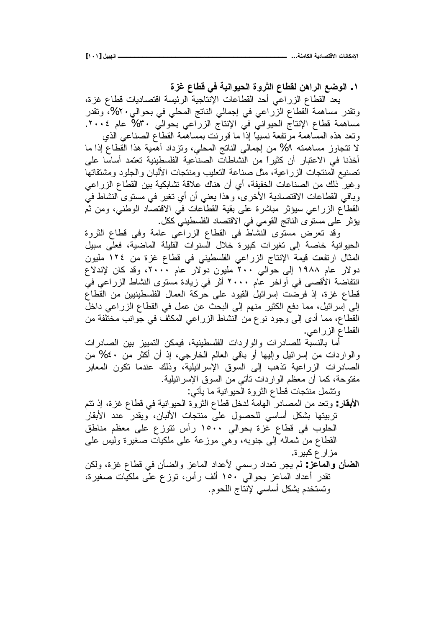**ŖŨŹųœűſƑżŗƒƈŒƍƒšƃŒŖƍŧśƃŒųœűƀƃƇƋŒŧƃŒŴŰƍƃŒ .Î**

بعد القطاع الزراعي أحد القطاعات الإنتاجية الرئيسة اقتصاديات قطاع غزة، ونقدر مساهمة القطاع الزراعي في إجمالي الناتج المحلي في بحوالي.٢٠%، وتقدر مساهمة قطاع الإنتاج الحيواني في الإنتاج الزراعي بحوالي ٣٠% عام ٢٠٠٤. وتعد هذه المسّاهمة مرتفعة نسبياً إذا ما قورنت بمساهمة القطاع الصناعي الذي لا نتجاوز مساهمته 1% من إجمالي الناتج المحلي، ونزداد أهمية هذا القطاع إذا ما أخذنا في الاعتبار أن كثيراً من النشاطات الصناعبة الفلسطينية تعتمد أساسا على تصنيع المنتجات الزراعية، مثل صناعة التعليب ومنتجات الألبان والجلود ومشتقاتها وغير ذلك من الصناعات الخفيفة، أي أن هناك علاقة تشابكية بين القطاع الزر اعي وباقي القطاعات الاقتصادية الأخرى، وهذا يعني أن أي تغير في مستوى النشاط في القطاع الزراعي سيؤثر مباشرة على بقية القطاعات في الاقتصاد الوطني، ومن ثم يؤثر على مستوى الناتج القومي في الاقتصاد الفلسطيني ككل.

وقد نعرض مسنوى النشاط في القطاع الزراعي عامة وفي قطاع الثروة الحيوانية خاصة إلى تغيرات كبيرة خلال السنوات القليلة الماضية، فعلّى سبيل المثال ارتفعت فيمة الإنتاج الزراعي الفلسطيني في قطاع غزة من ١٢٤ مليون دولار عام ۱۹۸۸ إلى حوالى ۲۰۰ مليون دولار عام ۲۰۰۰، وقد كان لإندلاع انتفاضة الأقصبي في أواخر عام ٢٠٠٠ أثر في زيادة مستوى النشاط الزراعي في قطاع غزة، إذ فرضت إسرائيل القيود على حركة العمال الفلسطينيين من القطاع إلى إسرائيل، مما دفع الكثير منهم إلى البحث عن عمل في القطاع الزراعي داخل القطاع، مما أدى إلى وجود نوع من النشاط الزراعي المكثف في جوانب مختلفة من القطاع الزراعي.

أما بالنسبة للصادرات والواردات الفلسطينية، فيمكن النمييز بين الصادرات والواردات من إسرائيل وإليها أو باقي العالم الخارجي، إذ أن أكثر من ٤٠% من الصادرات الزراعية نذهب إلى السوق الإسرائيلية، وذلك عندما نكون المعابر مفتوحة، كما أن معظم الواردات نأتي من السوق الإسرائيلية. ونشمل منتجات قطاع الثروة الحيوانية ما يأتبي:

ا**لأبقار** : وتعد من المصـادر الهامة لدخل قطـاع الثروة الحيوانية في قطـاع غزة، إذ تتم تربيتها بشكل أساسي للحصول على منتجات الألبان، ويقدر عدد الأبقار الحلوب في قطاع غزة بحوالى ١٥٠٠ رأس تتوزع على معظم مناطق القطاع من شماله إلى جنوبه، وهي موزعة على ملكيات صغيرة وليس على مز ار ع کبير ة.

ا**لضأن والمعاعز** : لم يجر تعداد رسمي لأعداد الماعز والضأن في قطاع غزة، ولكن تقدر أعداد الماعز بحوالي ١٥٠ ألف رأس، توزع على ملكيات صغيرة، ونستخدم بشكل أساسي لإنتاج اللحوم.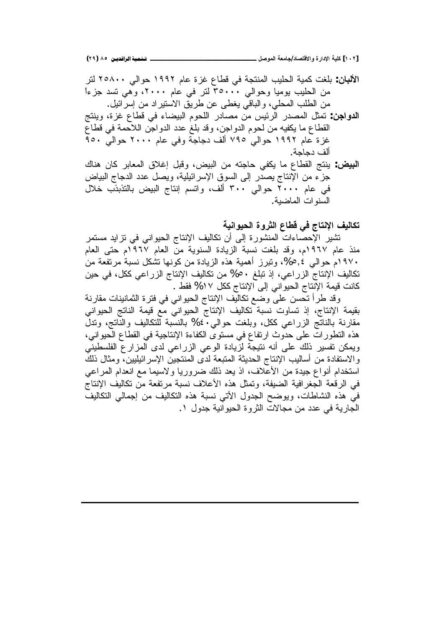ا**لألبان**: بلغت كمية الحليب المنتجة في قطاع غزة عام ١٩٩٢ حوالي ٢٥٨٠٠ لتر من الحليب بوميا وحوالى ٣٥٠٠٠ لتر في عام ٢٠٠٠، وهي نسد جزءاً من الطلب المحلي، والباقي يغطي عن طريق الاستيراد من إسرائيل.

<mark>الدواجن</mark>: تمثل المصدر الرئيس من مصادر اللحوم البيضاء في قطاع غزة، وينتج القطاع ما يكفيه من لحوم الدواجن، وقد بلغ عدد الدواجن اللاحمة في قطاع غزة عام ١٩٩٢ حوالي ٧٩٥ ألف دجاجة وفي عام ٢٠٠٠ حوالي ٩٥٠ ألف دحاحة.

ا**لبيض**: ينتج القطاع ما يكفي حاجته من البيض، وقبل إغلاق المعابر كان هناك جزء من الإنتاج بصدر إلى السوق الإسرائيلية، ويصل عدد الدجاج البياض في عام ٢٠٠٠ حوالي ٣٠٠ ألف، واتسم إنتاج البيض بالتذبذب خلال السنو ات الماضية.

تكاليف الإنتاج في قطاع الثروة الحيوانية

تشير الإحصاءات المنشورة إلى أن تكاليف الإنتاج الحيواني في تزايد مستمر منذ عام ١٩٦٧م، وقد بلغت نسبة الزيادة السنوية من العام ١٩٦٧م حتى العام ٠٩٢٠م حوالي ٥,٤%، وتبرز أهمية هذه الزيادة من كونها تشكل نسبة مرتفعة من تكاليف الإنتاج الزراعي، إذ تبلغ 60% من تكاليف الإنتاج الزراعي ككل، في حين كانت قيمة الإنتاج الحيواني إلى الإنتاج ككل ١٧% فقط .

وقد طرأ تحسن على وضع تكاليف الإنتاج الحيواني في فترة الثمانينات مقارنة بقيمة الإنتاج، إذ تساوت نسبة تكاليف الإنتاج الحيواني مع قيمة الناتج الحيواني مقارنة بالناتج الزراعي ككل، وبلغت حواليي ٤٠% بالنسبة للنكاليف والنّانتج، وتدل هذه النطورات على حدوث ارتفاع في مستوى الكفاءة الإنتاجية في القطاع الحيواني، ويمكن تفسير ذلك على أنه نتيجة لزيادة الوعى الزراعي لدى المزارع الفلسطيني والاستفادة من أساليب الإنتاج الحديثة المتبعة لدى المنتجين الإسر ائيليين، ومثال ذلك استخدام أنواع جيدة من الأعلاف، اذ يعد ذلك ضروريا ولاسيما مع انعدام المراعي في الرقعة الجغرافية الضيفة، ونمثل هذه الأعلاف نسبة مرتفعة من نكاليف الإنتاج في هذه النشاطات، ويوضح الجدول الأتبي نسبة هذه التكاليف من إجمالي التكاليف الجارية في عدد من مجالات الثروة الحيوانية جدول ١.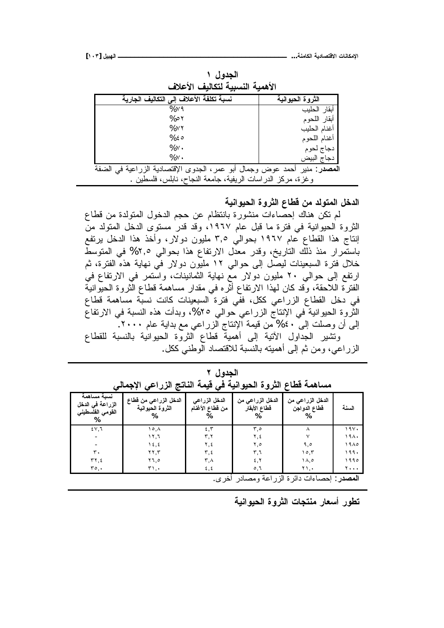| الأهمية النسبية لتكاليف الأعلاف                                                  |                  |  |  |
|----------------------------------------------------------------------------------|------------------|--|--|
| نسبة تكلفة الأعلاف إلى التكاليف الجارية                                          | الثروة الحيوانية |  |  |
| $%$ $\vee$ ٩                                                                     | أبقار الحليب     |  |  |
| 0% م                                                                             | أبقار اللحوم     |  |  |
| $%$ ۲۲                                                                           | أغنام الحليب     |  |  |
| %50                                                                              | أغنام اللحوم     |  |  |
| $\%$ $\vee$ $\cdot$                                                              | دجاج لحوم        |  |  |
| %٧.                                                                              | دجاج البيض       |  |  |
| <b>المصدر</b> : منير أحمد عوض وجمال أبو عمر، الجدوى الإقتصادية الزراعية في الضفة |                  |  |  |
| وغزة، مركز الدراسات الريفية، جامعة النجاح، نابلس، فلسطين                         |                  |  |  |

ا**لجدول ۱** 

الدخل المتولد من قطاع الثرو**ة الحيواني**ة

لم تكن هناك إحصاءات منشورة بانتظام عن حجم الدخول المتولدة من قطاع الثروة الحيوانية في فترة ما قبل عام ١٩٦٧، وقد قدر مستوى الدخل المتولد منّ انتاج هذا القطاع عام ١٩٦٧ بحوالي ٣,٥ مليون دولار، وأخذ هذا الدخل يرتفع باستَمرار منذ ذلَّك التاريخ، وقدر معدَّل الارتفاع هذا بحوالي ٢,٥% في المتوسطَّ خلال فترة السبعينات ليصل إلى حوالى ١٢ مليون دولار في نهاية هذه الفترة، ثم ارنفع إلى حوالي ٢٠ مليون دولار مع نهاية الثمانينات، واستمر في الارتفاع في الفترة اللاحقة، وقد كان لهذا الارتفاع أثّره في مقدار مساهمة قطاع الثروة الحيّوانية في دخل القطاع الزراعي ككل، ففّي فترة السبعينات كانت نسبّة مساهمة قطاع الثَّروة الحيوانية ّفي الإنتاج الزراعي حوالي ٢٥%، وبدأت هذه النسبة في الارتفاع الِّي أن وصلت إلى ٤٠% من قيمة الإنتاج الزراعي مع بداية عام ٢٠٠٠. ونتثبير الجداول الأتية إلى أهمية قطاع الثروة الحيوانية بالنسبة للقطاع الزراعي، ومن ثم إلى أهميته بالنسبة للاقتصاد الوطنى ككل.

|                                                          | الاحصائي<br>ق <i>ی</i> قیمه انسانج انزراعی |                                  | النزود الحيوانية                 | مساهمه قطاع                           |       |
|----------------------------------------------------------|--------------------------------------------|----------------------------------|----------------------------------|---------------------------------------|-------|
| نسبة مساهمة<br>الزراعة في الدخل<br>القومى الفلسطيني<br>% | الدخل الزراعي من فطاع<br>الثروة الحيوانية  | الدخل الزراعي<br>من قطاع الأغنام | الدخل الزراعي من<br>قطاع الأبقار | الدخل الزراعي من<br>قطاع الدواجن<br>% | السنة |
| 51,7                                                     | ۸, ۱۰                                      | 5,5                              | م,۳                              | ٨                                     | ۱۹۷۰  |
|                                                          | ۲, ۲۱                                      | ۳,۲                              | ۲,٤                              | ٧                                     | ۱۹۸۰  |
|                                                          | ۱٤,٤                                       | ۲,٤                              | ٥,٢                              | ۹,٥                                   | ۱۹۸۵  |
| $\mathbf{r}$ .                                           | ۲۲,۳                                       | ۳,٤                              | ٣,٦                              | ۶۰٫۳                                  | 199.  |
| ٢٢,٤                                                     | ۲٦,٥                                       | ۳,۸                              | 5, 7                             | ۱۸.٥                                  | ۱۹۹۵  |
| ۳٥.٠                                                     | ۲۱.۰                                       | ٤,٤                              | $\circ$ , $\circ$                | ۲۱.۰                                  | 7     |

الجدول ۲ مساهمة قطاع الثروة الحيوانية ف*ي* قيمة الناتج الزراعي الإجمال*ي* 

<mark>المصد</mark>ر : احصـاءات دائر ة الزر اعة ومصـادر أخر ي.

تطور أسعار منتجات الثروة الحيوانية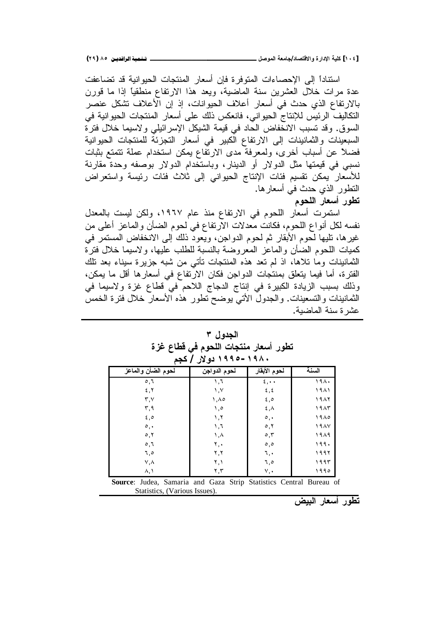استناداً إلى الإحصـاءات المتوفرة فإن أسعار المنتجات الحيوانية قد تضـاعفت عدة مرات خلال العشرين سنة الماضية، ويعد هذا الارتفاع منطقياً إذا ما قورن بالارتفاع الذي حدث في أسعار أعلاف الحيوانات، إذ إن الأعلاف تشكل عنصر التكاليف الرئيس للإنتاج الحيواني، فانعكس ذلك على أسعار المنتجات الحيوانية في السوق وقد نسبب الانخفاض الحاد في قيمة الشيكل الإسرائيلي ولاسيما خلال فنرة السبعينات والثمانينات إلى الارتفاع الكبير في أسعار التجزئة للمنتجات الحيوانية فضلاً عن أسباب أخرى، ولمعرفةً مدى الارتفاع بمكن استخدام عملة نتمتع بثبات نسبي في قيمتها مثل الدولار أو الدينار، وباستخدام الدولار بوصفه وحدة مقارنة للأسعار يمكن نقسيم فئات الإنتاج الحيواني إلى ثلاث فئات رئيسة واستعراض النطور الذ*ي حدث فيٰ* أسعارهاً. تطور أسعار اللحوم

استمرت أسعار اللحوم في الارتفاع منذ عام ١٩٦٧، ولكن ليست بالمعدل نفسه لكل أنواع اللحوم، فكانت معدلات الأرتفاع في لحوم الضأن والماعز أعلى من غيرها، تليها لحوم الأبقار ثم لحوم الدواجن، ويعود ذلك إلىي الانخفاض المستمر في كمبات اللحوم الضأن والماعز المعروضة بالنسبة للطلب علبها، ولاسبما خلال فترة النمانينات وما تلاها، اذ لم تعد هذه المنتجات تأتي من شبه جزيرة سيناء بعد نلك الفترة، أما فيما يتعلق بمنتجات الدواجن فكان الارتفاع في أسعارها أقل ما يمكن، وذلك بسبب الزيادة الكبيرة في إنتاج الدجاج اللاحم في قطاع غزة ولاسيما في الثمانينات والتسعينات. والجدول الأتى يوضح تطور هذه الأسعار خلال فترة الخمس عشر ة سنة الماضية.

الجدو <u>ل</u> ۳ تطور أسعار منتجات اللحوم ف*ي* قطاع غزة **ƅŞƂ /ŧƙƍť ÎÖÖÒ-ÎÖÕÍ**

| لحوم الضأن والماعز | لحوم الدواجن             | لحوم الأبقار                                            | السنة  |
|--------------------|--------------------------|---------------------------------------------------------|--------|
| $\circ$ , $\circ$  | ٦,۱                      | $\epsilon, \cdot \cdot$                                 | 191.   |
| 5, 7               | ۱,۷                      | $\mathbf{\hat{z}}$ , $\mathbf{\hat{z}}$                 | ۱۹۸۱   |
| ۳,۷                | ۱,۸۵                     | $\epsilon$ , $\circ$                                    | 1987   |
| ۳,۹                | ه, ۱                     | $\mathbf{\mathfrak{c}}$ , $\mathbf{\mathfrak{\Lambda}}$ | ۱۹۸۳   |
| 5,0                | $\lambda, \lambda$       | $\circ$ ,                                               | ۱۹۸۵   |
| $\circ$ ,          | ۱,٦                      | $\circ, \circ$                                          | 19 A V |
| $\circ$ , $\circ$  | ۱,۸                      | $\circ$ , $\mathsf{r}$                                  | ۱۹۸۹   |
| $\circ, \circ$     | ۲,۰                      | $\circ, \circ$                                          | ۱۹۹۰   |
| ٥,٦                | ۲,۲                      | ٦,٠                                                     | ۱۹۹۲   |
| V, A               | ۲,۱                      | ٦,٥                                                     | ۱۹۹۳   |
| $\lambda, \lambda$ | $\mathbf{Y}, \mathbf{Y}$ | $V, \bullet$                                            | ۱۹۹۰   |

**Source**: Judea, Samaria and Gaza Strip Statistics Central Bureau of Statistics, (Various Issues).

<u>تطور أسعار الديض</u>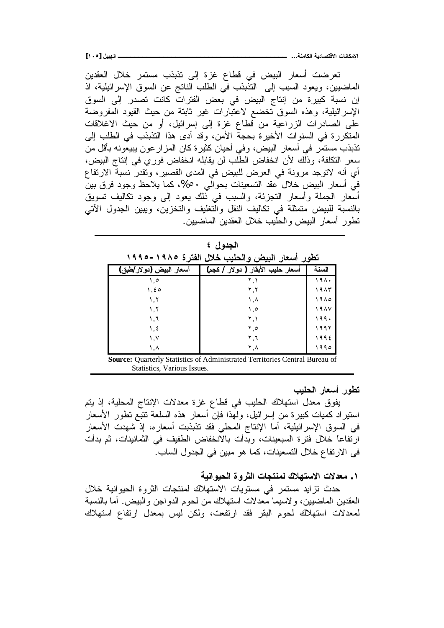**[ÎÍÒ] ¾ƒŕƌƃŒººººººººººººººººººººººººººººººººººººººººº ...ŗƈƆœƂƃŒŗƒťœŮřſƙŒ ŘœƈœƂƆƗŒ**

تعرضت أسعار البيض في قطاع غزة إلى تذبذب مستمر خلال العقدين الماضيين، ويعود السبب إلى التذبذب في الطلب الناتج عن السوق الإسرائيلية، اذ إن نسبة كبيرة من إنتاج البيض في بعض الفترات كانت تصدر إلى السوق الإسرائيلية، وهذه السوق تخضع لاعتبارات غير ثابتة من حيث القيود المفروضة على الصادرات الزراعية من قطاع غزة إلى إسرائيل، أو من حيث الاغلاقات المتكررة في السنوات الأخيرة بحجة الأمن، وقد أدى هذا التذبذب في الطلب إلى تذبذب مستمر في أسعار البيض، وفي أحيان كثيرة كان المزار عون يبيعونه بأقل من سعر التكلفة، وذلَّك لأن انخفاض الطَّلب لن يقابله انخفاض فورٍ في إنتاج البيض، أي أنه لاتوجد مرونة في العرض للبيض في المدى القصير ، ونقدر نسبة الارتفاع فيُ أسعارِ البيض خلال عقد التسعينات بحوالَّـي ٥٠%، كما يلاحظ وجود فرق بينَّ أسعار الجملة وأسعار النجزئة، والسبب في ذلك يعود إلى وجود نكاليف تسويق بالنسبة للبيض متمثلة في تكاليف النقل والتغليف والتخزين، ويبين الجدول الآتي تطور أسعار البيض والحليب خلال العقدين الماضبين.

| الجدول ٤                |                                                |       |  |
|-------------------------|------------------------------------------------|-------|--|
|                         | تطور أسعار البيض والحليب خلال الفترة ١٩٨٥–١٩٩٥ |       |  |
| أسعار البيض (دولار/طبق) | أسعار حليب الأبقار ( دولار / كجم)              | السنة |  |
| ه. ۱                    | ۲,۱                                            | ۱۹۸۰  |  |
| ۵ ځ. ۱                  | ۲,۲                                            | ۱۹۸۳  |  |
| ۱,۲                     | ۸, ۱                                           | ۱۹۸۵  |  |
| ۲, ۱                    | ه, ۱                                           | ۱۹۸۷  |  |
| ٦.۱                     | ۲.۱                                            | ۱۹۹۰  |  |
| ٤,١                     | ٥,٢                                            | ۱۹۹۲  |  |

**Source:** Quarterly Statistics of Administrated Territories Central Bureau of Statistics, Various Issues.

 $\lambda, \lambda$  $\lambda$ 

۲.٦ ۲.A

**تطور أسعار الحليب** 

 $1995$  $199c$ 

يفوق معدل استهلاك الحليب في قطاع غزة معدلات الإنتاج المحلية، إذ يتم استيراد كميات كبيرة من إسرائيل، ولـهذا فإنّ أسعار هذه السلعة نتبّع نطور الأسعار في السوق الإسرائيلية، أما الإنتاج المحلي فقد نذبذبت أسعاره، إذ شهدت الأسعار ارتفاعاً خلال فترة السبعينات، وبدأت بالانخفاض الطفيف في الثمانينات، ثم بدأت في الار تفاع خلال التسعينات، كما هو مبين في الجدول الساب.

**ŗƒƈŒƍƒšƃŒŖƍŧśƃŒŘœŞřƈƆƃƁƚƌřŪƙŒŘƙťŶƆ .Î**

حدث نزايد مستمر في مستويات الاستهلاك لمنتجات الثروة الحيوانية خلال العقدين الماضيين، ولاسيما معدلات استهلاك من لحوم الدواجن والبيض. أما بالنسبة لمعدلات استهلاك لحوم البقر فقد ارتفعت، ولكن ليس بمعدل ارتفاع استهلاك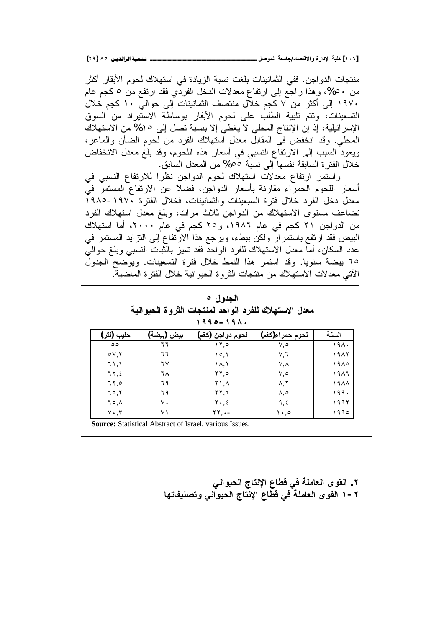**(ÏÖ) ÕÒ ÞNë¢Ë¦×ìÜàN**6666666666666666666666666666666666666666666666666666666666666666666666666666666666666**¾ŮƍƆƃŒŗŶƆœŞ/ťœŮřſƙŒƍ ŖŧŒťƗŒŗƒƄƂ [ÎÍÓ]**

منتجات الدواجن. ففي الثمانينات بلغت نسبة الزيادة في استهلاك لحوم الأبقار أكثر من ٥٠%، وهذا راجع إلىي ارتفاع معدلات الدخل الفردّي فقد ارتفع من ٥ كجم عام ، ١٩٧ إلى أكثر من ٧ كجم خلال منتصف الثمانينات إلى حوالي ١٠ كجم خلال التسعينات، وتتم تلبية الطلب على لحوم الأبقار بوساطة الاستيراد من السوق الإسرائيلية، إذ إن الإنتاج المحلي لا يغطي إلا بنسبة تصل إلى 10% من الاستهلاك المحلي. وقد انخفض في المقابل معدل استهلاك الفرد من لحوم الضأن والماعز، ويعود السبب إلى الارتفاع النسبي في أسعار هذه اللحوم، وقد بلغ معدل الانخفاض خلال الفترة السابقة نفسها إلى نسبة 00% من المعدل السابق.

واستمر ارتفاع معدلات استهلاك لحوم الدواجن نظرا للارتفاع النسبي في أسعار ّ اللحوم الحمراء مقارنة بأسعار الدواجن، فضلاً عنّ الارتفاع المستمرّ فيّ معدل دخل الفرد خلال فترة السبعينات والثمانينات، فخلال الفترة ١٩٧٠-١٩٨٥ تضاعف مستوى الاستهلاك من الدواجن ثلاث مرات، وبلغ معدل استهلاك الفرد من الدواجن ٢١ كجم في عام ١٩٨٦، و٢٥ كجم في عام ٢٠٠٠، أما استهلاك البيض فقد ارتفع باستمرار ولكن ببطء، ويرجع هذا الارتفاع إلى النزايد المستمر في عدد السكان، أماّ معدل الاستهلاك للفرد الواحد فقد تميز بالّثبات النسبي وبلغ حوالي 10 بيضة سنويا. وقد استمر هذا النمط خلال فترة التسعينات. ويوضح الجدول الآتي معدلات الاستهلاك من منتجات الثروة الحبو انبة خلال الفترة الماضبة.

| الجدول ہ                                             |  |
|------------------------------------------------------|--|
| معدل الاستهلاك للفرد الواحد لمنتجات الثروة الحيوانية |  |
| $1990 - 191.$                                        |  |

| حليب (لتر)         | بيض (بيضة) | لحوم دواجن (كغم)                    | لحوم حمراء(كغم)  | السنة |
|--------------------|------------|-------------------------------------|------------------|-------|
| $\circ \circ$      | ٦٦         | ۰۲٫۵                                | ٥,٧              | ۱۹۸۰  |
| $\circ \vee, \vee$ | ٦٦         | ۱۰,۲                                | ۷,٦              | 1987  |
| 71,1               | ٦V         | ۱۸,۱                                | V, A             | ۱۹۸۵  |
| ٦٢,٤               | ٦٨         | $\mathbf{Y} \mathbf{Y}, \mathbf{0}$ | ٥,٧              | ۱۹۸٦  |
| 77,0               | ٦٩         | $Y \setminus A$                     | $\wedge, \vee$   | 1988  |
| 70,7               | ٦٩         | ۲۲.٦                                | $\lambda, \circ$ | ۱۹۹۰  |
| $70, \lambda$      | ٧.         | $Y \cdot 5$                         | ٩,٤              | ۱۹۹۲  |
| $Y \cdot, Y$       | ۷١         | $\mathbf{Y} \mathbf{Y}, \cdot -$    | ۰,۰۱             | ۱۹۹۰  |

**Source:** Statistical Abstract of Israel, various Issues.

**ƑƈŒƍƒšƃŒŜœřƈƗŒųœűſƑżŗƄƆœŶƃŒƎƍƀƃŒ .Ï œƌřœŽƒƈŮřƍƑƈŒƍƒšƃŒŜœřƈƗŒųœűſƑżŗƄƆœŶƃŒƎƍƀƃŒ Î-Ï**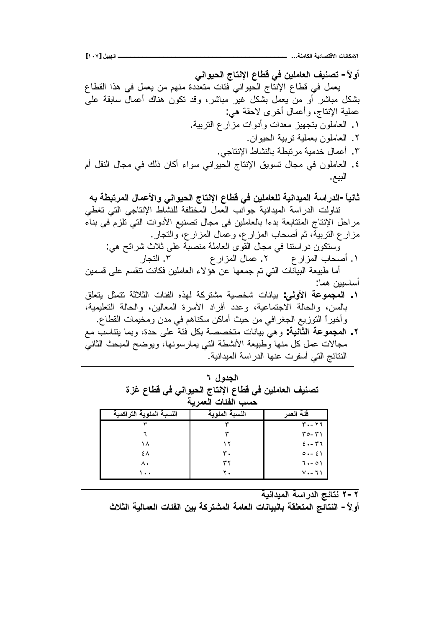**[ÎÍÔ] ¾ƒŕƌƃŒººººººººººººººººººººººººººººººººººººººººº ...ŗƈƆœƂƃŒŗƒťœŮřſƙŒ ŘœƈœƂƆƗŒ**

أو لاً – تصنيف العاملين ف*ي* قطاع الإنتاج الحيوان*ي* يعمل في قطاع الإنتاج الحيواني فئات متعددة منهم من يعمل في هذا القطاع بشكل مباشر أو من يعمل بشكل غير مباشر، وقد نكون هناك أعمال سابقة على عملية الإنتاج، وأعمال أخرى لاحقة هي: ۱. العاملون بنجهيز معدات وأدوات مزار ع النربية. ٢. العاملون بعملية تربية الحيوان. ٣. أعمال خدمية مر تبطة بالنشاط الانتاجي. ٤. العاملون في مجال تسويق الإنتاج الحيواني سواء أكان ذلك في مجال النقل أم البيع.

ثانياً – الدر اسة الميدانية للعاملين ف*ي* قطاع الإنتاج الحيوان*ي* والأعمال المرتبطة به نتاولت الدر اسة الميدانية جوانب العمل المختلفة للنشاط الإنتاجي التي تغطي مراحل الإنتاج المتتابعة بدءا بالعاملين في مجال تصنيع الأدوات التي تلزم في بناء مزارع التربية، ثم أصحاب المزارع، وعمال المزارع، والتجار . وسنكون دراسننا في مجال القّوى العاملة منصبّة على ثلاث شرائح هي: ũ੶ƅŔ .Ñ ŵũŔŪƈƅŔ¿ŕƈŷ .Ð ŵũŔŪƈƅŔŖŕţŰŌ .Ï

أما طبيعة البيانات التي تم جمعها عن هؤلاء العاملين فكانت تتقسم على قسمين أساسبين هما:

- ٠. ا**لمجموعة الأولى**: بيانات شخصية مشتركة لهذه الفئات الثلاثة تتمثل يتعلق بالسن، والحالة الاجتماعية، وعدد أفراد الأسرة المعالين، والحالة التعليمية، وأخيرا التوزيع الجغرافي من حيث أماكن سكناهم في مدن ومخيمات القطاع.
- ŶƈŖŬŕƊśƔŕƈŗƏ ŘŧţƑƆŷřœž¿ƄŗřŰŰŦśƈŚŕƊŕƔŗƓƍƏ **:ŗƒƈœśƃŒŗŵƍƆŞƆƃŒ .Ï** مجالات عمل كل منها وطبيعة الأنشطة التي يمارسونها، ويوضح المبحث الثاني النتائج التي أسفرت عنها الدراسة الميدانية.

| تصنيف العاملين في قطاع الإنتاج الحيواني في قطاع غزة<br>حسب الفئات العمر بـة |                |             |  |  |
|-----------------------------------------------------------------------------|----------------|-------------|--|--|
| النسبة المئوية التراكمية                                                    | النسبة المئوية | فَئَة العمر |  |  |
|                                                                             |                | ۳۰ - ۲٦     |  |  |
|                                                                             |                | $T0-T1$     |  |  |
| ۱۸                                                                          |                | $2. - 77$   |  |  |
| ٤٨                                                                          | ۳.             | 0.251       |  |  |
| ۸.                                                                          |                | $7. -01$    |  |  |
| ۰.                                                                          |                | 7・- 7)      |  |  |

الحده أ، **٢** 

**ŗƒƈŒťƒƆƃŒŗŪŒŧťƃŒŝőœřƈ Ï-Ï**

أولاً – النتائج المتعلقة بالبيانات العامة المشتركة بين الفئات الع*م*الية الثلاث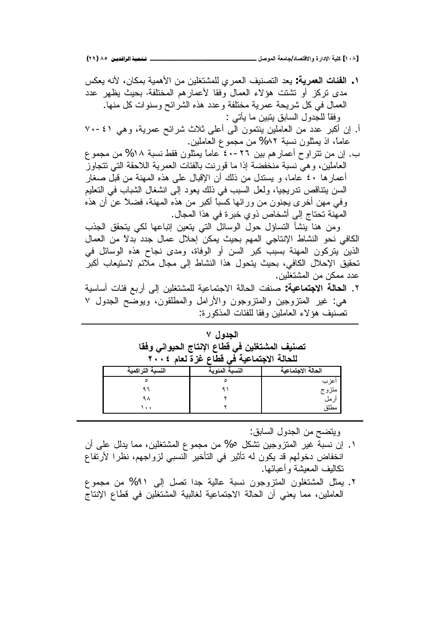**(ÏÖ) ÕÒ ÞNë¢Ë¦×ìÜàN**6666666666666666666666666666666666666666666666666666666666666666666666666666666666666**¾ŮƍƆƃŒŗŶƆœŞ/ťœŮřſƙŒƍ ŖŧŒťƗŒŗƒƄƂ [ÎÍÕ]**

ūƄŸƔƌƊƗ ƉŕƄƈŗřƔƈƍƗŔƉƈƉƔƆżśŮƈƆƅƒũƈŸƅŔŽƔƊŰśƅŔ ŧŸƔ **:ŗƒŧƆŶƃŒŘœőŽƃŒ .Î** مدى نركز أو نشتت هؤلاء العمال وفقا لأعمارهم المختلفة، بحيث يظهر عدد العمال في كل شريحة عمرية مختلفة وعدد هذه الشرائح وسنوات كل منها. وفقاً للجدول السابق يتبين ما يأتي :

- أ. إن أكبر عدد من العاملين بنتمون الى أعلى ثلاث شرائح عمرية، وهي ٤١-٧٠ عاماً، اذ يمثلون نسبة ٨٢% من مجموع العاملين.
- ب. إن من نتراوح أعمارهم بين ٢٦-٤٠ عاماً يمثلون فقط نسبة ١٨% من مجموع لعاملين، وهي نسبة منخفضة إذا ما قورنت بالفئات العمرية اللاحقة التي تتجاوز أعمارها ٤٠ عاما، و يستدل من ذلك أن الإقبال على هذه المهنة من قبل صغار السن بتناقص ندريجيا، ولعل السبب في ذلك يعود إلى انشغال الشباب في النعليم وفي مهن أخرى يجنون من ورائها كسباً أكبر من هذه المهنة، فضلاً عن أن هذه المهّنة تحتاج إلى أشخاص ذوي خبرة في هذا المجال.

ومن هنا ينشأ النساؤل حول الوسائل التي ينعين إتباعها لكي يتحقق الجذب الكافي نحو النشاط الإنتاجي المهم بحيث يمكن إحلال عمال جدد بدلاً من العمال الذين يتركون المهنة بسبب كبر السن أو الوفاة، ومدى نجاح هذه الوسائل في تحقيق الإحلال الكافي، بحيث يتحول هذا النشاط إلى مجال ملائم لاستيعاب أكبر عدد ممكن من المشتغلين.

řƔŬŕŬŌŚŕœžŶŗũŌƑƅŏƉƔƆżśŮƈƆƅřƔŷŕƈśŠƛŔřƅŕţƅŔŚſƊŰ **:ŗƒŵœƆřŞƙŒŗƃœšƃŒ** .Ð هي: غير المنزوجين والمنزوجون والأرامل والمطلقون، ويوضح الجدول Y نصنبف هؤ لاء العاملين وفقا للفئات المذكور ة:

|                  | الجدول ٧<br>تصنيف المشتغلين في قطاع الإنتاج الحيواني وفقا<br>للحالة الاجتماعية في قطاع غزة لعام ٢٠٠٤ |                 |
|------------------|------------------------------------------------------------------------------------------------------|-----------------|
| النسبة التراكمية | النسبة المئوية                                                                                       | حالة الاجتماعية |

| النسبة التراكمية | النسبة المئوية | الحالة الاجتماعية |
|------------------|----------------|-------------------|
|                  |                | اعزب              |
|                  |                | متزوج             |
|                  |                | از مل             |
| ۰. ۱             |                | مطلة              |

ويتضح من الجدول السابق:

- ا . إن نسبة غير المنزوجين نشكل 0% من مجموع المشتغلين، مما يدلل علم أن انخفاض دخولهم قد يكون له تأثير في التأخير النسبي لزواجهم، نظرا لأرتفاع نكالىف المعىشة و أعىائها.
- ۲. يمثل المشتغلون المتزوجون نسبة عالية جدا تصل إلى ۹۱% من مجموع العاملين، مما يعني أن الحالة الاجتماعية لغالبية المشتغلين في قطاع الإنتاج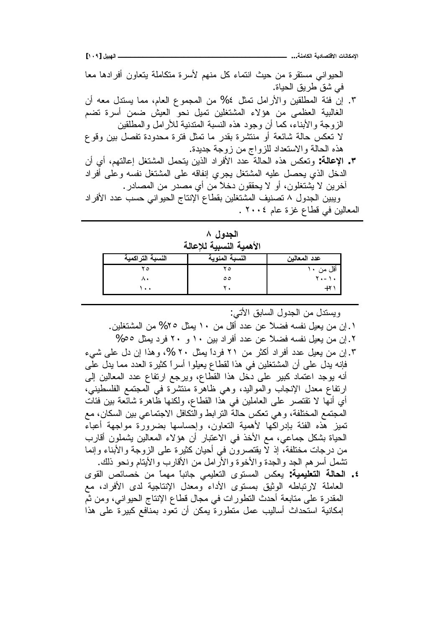**[ÎÍÖ] ¾ƒŕƌƃŒººººººººººººººººººººººººººººººººººººººººº ...ŗƈƆœƂƃŒŗƒťœŮřſƙŒ ŘœƈœƂƆƗŒ**

الْحَيْواني مَسْتَقْرَة من حَيْث انتماء كلّ منهم لأسرة متكاملة يتعاون أفرادها معا في شق طريق الحياة.

- ٣. اِن فئة المطلقين والأرامل تَمثَّل ٤% من المجموع العام، مما يستدل معه أن الغالبية العظمى من هؤلاء المشتغلين تميل نحو العيش ضمن أسرة تضم الزوجة والأبناء، كما أن وجود هذه النسبة المتدنية للأرامل والمطلقين لا تعكس حالة شائعة أو منتشرة بقدر ما تمثل فترة محدودة تفصل بين وقوع هذه الحالة والاستعداد للزواج من زوجة جديدة.
- ƉŌƒŌƇƎśƅŕŷŏ¿żśŮƈƅŔ¿ƈţśƔƉƔŨƅŔŧŔũžƗŔŧŧŷřƅŕţƅŔƋŨƍūƄŸśƏ **:ŗƃœŵƗŒ .Ð** الدخل الذي يحصل عليه المشتغل يجرى إنفاقه على المشتغل نفسه وعلى أفراد أخرين لا يشتغلون، أو لا يحققون دخلاً من أي مصدر من المصادر . ويبين الجدول ٨ تصنيف المشتغلين بقطاع الإنتاج الحيواني حسب عدد الأفراد

المعالين في قطاع غزة عام ٢٠٠٤ .

| الجدول ۸                |  |
|-------------------------|--|
| الأهمية النسبية للإعالة |  |

| النسبة التراكمية     | النسبة المئوية | عدد المعالين |
|----------------------|----------------|--------------|
|                      |                | أقل من       |
|                      | ه ه            | $k = 1 +$    |
| $\ddot{\phantom{1}}$ |                |              |

ويستدل من الجدول السابق الأتبي:

- ۰ . إن من يعيل نفسه فضلاً عن عدد أقل من ۱۰ يمثل ٢٥% من المشتغلين.
	- . إن من يعيل نفسه فضلاً عن عدد أفراد بين ١٠ و ٢٠ فرد يمثل ٥٥%
- ۳. إن من يعيل عدد أفراد أكثر من ٢١ فرداً بمثل ٢٠ %، وهذا إن دل علي شيء فإنه يدل على أن المشتغلين في هذا لقطاع يعيلوا أسراً كثيرة العدد مما يدل على أنه بوجد اعتماد كبير على دخل هذا القطاع، ويرجع ارتفاع عدد المعالين إلى ارتفاع معدل الإنجاب والمواليد، وهي ظاهرة منتشرة في المجتمع الفلسطيني، أي أنها لا تقتصر على العاملين في هذا القطاع، ولكنها ظاهرة شائعة بين فئات المجتمع المختلفة، وهي تعكس حالة النر ابط والتكافل الاجتماعي بين السكان، مع تميز هذه الفئة بإدراكها لأهمية التعاون، وإحساسها بضرورة مواجهة أعباء الحياة بشكل جماعي، مع الأخذ في الاعتبار أن هؤلاء المعالين يشملون أقارب من درجات مختلفة، إذ لا يقتصرون في أحيان كثيرة على الزوجة والأبناء وإنما تشمل أسرهم الجد والجدة والأخوة والأرامل من الأقارب والأيتام ونحو ذلك.
- ƐƏƂƅŔ ůœŕŰŦ Ɖƈ ĻŕƈƎƈ ĻŕŗƊ੠ƓƈƔƆŸśƅŔ ƐƏśŬƈƅŔ ūƄŸƔ **:ŗƒƆƒƄŶřƃŒ ŗƃœšƃŒ .Ñ** العاملة لارتباطه الوثيق بمستوى الأداء ومعدل الإنتاجية لدى الأفراد، مع المقدرة على متابعة أحدث التطورات في مجال قطاع الإنتاج الحيواني، ومن ثم امِكانية استحداث أساليب عمل متطورة يمكن أن تعود بمنافع كبيرة على هذا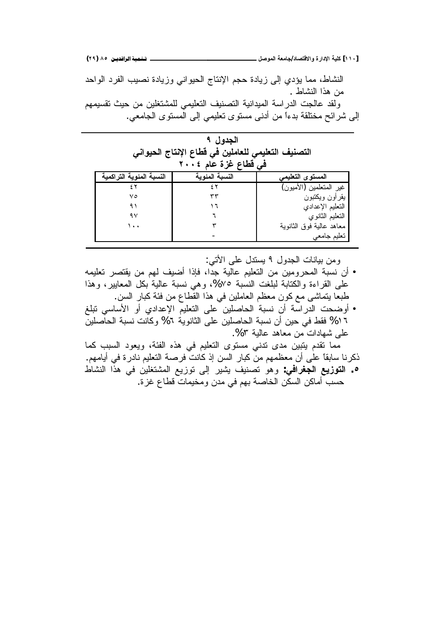النشاط، مما يؤدي إلى زيادة حجم الإنتاج الحيواني وزيادة نصيب الفرد الواحد من هذا النشاط .

ولقد عالجت الدراسة الميدانية التصنيف التعليمي للمشتغلين من حيث تقسيمهم إلى شرائح مختلقة بدءًا من أدنى مستوى تعليمي إلى المستوى الجامعي.

| الجدول ۹                                           |  |
|----------------------------------------------------|--|
| التصنيف التعليمي للعاملين في قطاع الإنتاج الحيواني |  |
| في قطاع غزة عام ٢٠٠٤                               |  |

| النسبة المئوية التراكمية | النسبة المئوية | المستوى التعليمي         |
|--------------------------|----------------|--------------------------|
|                          |                | غير المتعلمين (الأميون)  |
| ۷٥                       |                | بقرأون ويكتبون           |
|                          |                | التعليم الإعدادي         |
| ۹۷                       |                | النعليم الثانوي          |
| ۰. ۱                     |                | معاهد عالية فوق الثانوية |
|                          |                | تعليم جامعي              |

ومن ببانات الجدول ٩ بسندل على الأتي:

- أن نسبة المحرومين من التعليم عالية جدًّا، فإذا أضيف لهم من يقتصر تعليمه على القراءة والكتابة لبلغت النسبة ٧٥%، وهي نسبة عالية بكل المعابير، وهذا طبعا يتماشى مع كون معظم العاملين في هذا القطاع من فئة كبار السن.
- أوضحت الدّراسة أن نسبة الحاصلين على النعليم الإعدادي أو الأساسي نبلغ 1 % فقط في حين أن نسبة الحاصلين على الثانوية 1% وكانت نسبة الحاصلين على شهادات من معاهد عالية ٣%.

معا نقدم بِتبين مدى ندنى مستوى التعليم في هذه الفئة، ويعود السبب كما ذكرنا سابقاً على أن معظمهم من كبار السن إذ كانت فرصة التعليم نادرة في أيامهم.

ه . ا**لتوزيع الجغرافي**: وهو تصنيف يشير إلى توزيع المشتغلين في هذا النشاط حسب أماكن السكن الخاصة بهم في مدن ومخيمات قطاع غزة.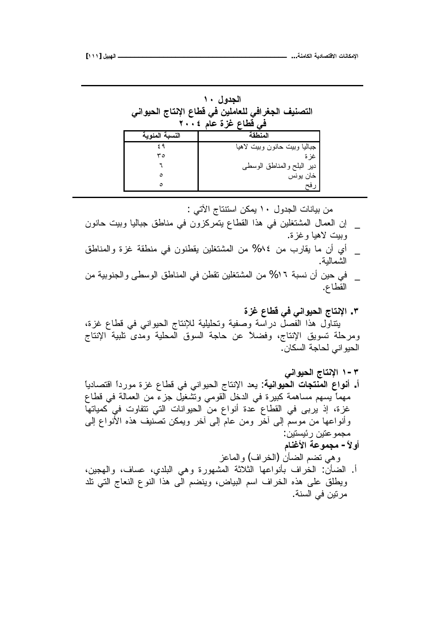| الجدول ۱۰<br>التصنيف الجغرافي للعاملين في قطاع الإنتاج الحيواني<br>فَى قَطَاعِ غَزَةَ عَامَ ؟ ٢٠٠ |                                |  |  |  |
|---------------------------------------------------------------------------------------------------|--------------------------------|--|--|--|
| النسبة المئوية                                                                                    | المنطقة                        |  |  |  |
|                                                                                                   | جباليا وببيت حانون وببيت لاهيا |  |  |  |
| ۳٥                                                                                                | غز ة                           |  |  |  |
|                                                                                                   | دبر البلح والمناطق الوسطى      |  |  |  |

Ó Ó

من بيانات الجدول ١٠ يمكن استتتاج الآتي :

- إن العمال المشتغلين في هذا القطاع يتمركزون في مناطق جباليا وبيت حانون وبيت لاهيا وغز ة.
- أي أن ما يقارب من 15% من المشتغلين يقطنون في منطقة غزة والمناطق الشمالدة.
- \_ في حين أن نسبة ١٦% من المشتغلين تقطن في المناطق الوسطى والجنوبية من القطاع.
	- **ŖŨŹųœűſƑżƑƈŒƍƒšƃŒŜœřƈƗŒ .Ð**

خان بونس رفح

بتتاول هذا الفصل درآسة وصفية وتحليلية للإنتاج الحيواني في قطاع غزة، ومرحلة تسويق الإنتاج، وفضلاً عن حاجة السوق المحلية ومّدىً تلبية الإنتاج الحيو اني لحاجة السكان.

- **ƑƈŒƍƒšƃŒŜœřƈƗŒ Î-Ð** أ. أ**نواع المنتجات الحيوانية**: يعد الإنتاج الحيواني في قطاع غزة مورداً اقتصادياً مهماً يسهم مساهمة كبيرة في الدخل القومي ونَشْغيلْ جزءٌ من العمالة في قطاع غزة، إذ يربي في القطاع عدة أنواع من الحيوانات التي نتفاوت في كمياتها وأنواعها من موسم إلى أخر من عام إلى أخر ويمكن تصنيف هذه الأنواع إلى مجمو عتين ر ئيستين:
	- أو لأ- مجموعة الأغنام وهي نضم الضأن (الخراف) والماعز
	- أ. الضأن: الخراف بأنواعها الثلاثة المشهورة وهي البلدي، عساف، والهجين، ويطلق على هذه الخراف اسم البياض، وينضم الى هذا النوع النعاج التي نلد مر نين في السنة.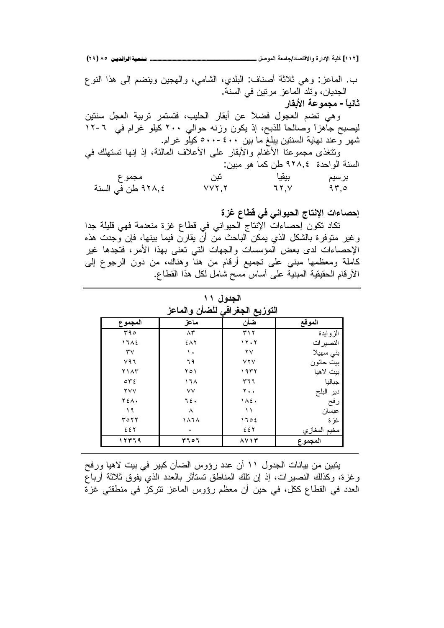**(ÏÖ) ÕÒ ÞNë¢Ë¦×ìÜàN**6666666666666666666666666666666666666666666666666666666666666666666666666666666666666**¾ŮƍƆƃŒŗŶƆœŞ/ťœŮřſƙŒƍ ŖŧŒťƗŒŗƒƄƂ [ÎÎÏ]**

ب. الماعز : وهي ثلاثة أصناف: البلدي، الشامي، والـهجين وينضم إلـى هذا النوع الجديان، ونلد الماعز مرنين في السنة. **ثانباً - مجموعة الأبقار** وهي تضم العجول فضلاً عن أبقار الحليب، فتستمر تربية العجل سنتين ليصبح جاهزاً وصالحاً للذبح، إذ يكون وزنه حوالبي ٢٠٠ كيلو غرام في ٦-١٢ شهر وعند نهاية السنتين يبلغ ما بين ٤٠٠-٥٠٠ كيلو غرام. ونتغذى مجموعنا الأعّنام والأبقار على الأعلاف المالئة، إذ إنها نستهلك في السنة الواحدة ٩٢٨,٤ طن كما هو مبين: ŵƏƈŠƈ Ɖŗś ŕƔƂƔŗ ƇƔŬũŗ řƊŬƅŔƓžƉų ×ÐÖÒ ÕÕÐÐ ÔÐÕ ×ÑÓ

إحصاءات الإنتاج الحيوان*ي* في قطاع غزة

تكاد تكون إحصاءات الإنتاج الحيواني في قطاع غزة منعدمة فهي قليلة جدا وغير متوفرة بالشكل الذي يمكن الباحث من أن يقارن فيما بينها، فإن وجدت هذه الإحصاءات لدى بعض المؤسسات والجهات التي تعني بهذا الأمر، فتجدها غير كاملة ومعظمها مبني على تجميع أرقام من هنا وهناك، من دون الرجوع إلى الأرقام الحقيقية المبنية على أساس مسح شامل لكل هذا القطاع.

| المجم <u>و ع</u>       | ماعز                            | اللوريخ الجعراتي للصان والماحر<br>ضأن | الموقع                         |
|------------------------|---------------------------------|---------------------------------------|--------------------------------|
| $\overline{\Gamma}$ 90 | $\overline{\Lambda \mathbf{r}}$ | $\mathbf{r} \wedge \mathbf{r}$        | الزوايدة                       |
| 17A5                   | $5\lambda$                      | 11.7                                  | النصير ات                      |
| $\mathsf{r}\mathsf{v}$ | ١.                              | $\mathsf{Y}\mathsf{V}$                | بني سهيلا                      |
| V97                    | ٦٩                              | YYY                                   | بيت حانون                      |
| <b>Y</b> 1 A T         | ۲٥١                             | ۱۹۳۲                                  | بيت لاهيا                      |
| OTE                    | ۱٦۸                             | ٣٦٦                                   | جباليا                         |
| <b>YVV</b>             | $\vee\vee$                      | $Y \cdot \cdot$                       |                                |
| <b>YEA.</b>            | ٦٤.                             | $1\wedge 2$ .                         | دير البلح<br>رفح               |
| 19                     | ٨                               | $\lambda$                             | ۔<br>عبسا <i>ن</i>             |
| ۳٥٢٢                   | ۱۸٦۸                            | 1702                                  | غزة                            |
| 227                    |                                 | 221                                   |                                |
| 12379                  | ۳۶٥۶                            | $\lambda V$ $\gamma$                  | مخيم المغازي<br><b>المجموع</b> |

**آلجدو**ل ١١ **ŨŵœƆƃŒƍƇŋŰƄƃƑżŒŧźŞƃŒŴƒŨƍřƃŒ**

يتبين من بيانات الجدول ١١ أن عدد رؤوس الضأن كبير في بيت لاهيا ورفح وغز ة، وكذلك النصير ات، إذ إن تلك المناطق تستأثر بالعدد الذي يفوق ثلاثة أرباع العدد في القطاع ككل، في حين أن معظم رؤوس الماعز نتركز في منطقتي غزة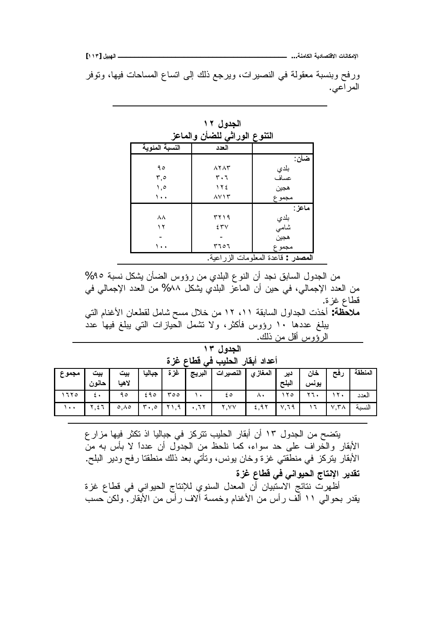**[ÎÎÐ] ¾ƒŕƌƃŒººººººººººººººººººººººººººººººººººººººººº ...ŗƈƆœƂƃŒŗƒťœŮřſƙŒ ŘœƈœƂƆƗŒ**

ورفح وبنسبة معقولة في النصيرات، ويرجع ذلك إلى انساع المساحات فيها، وتوفر المراعي.

| التنوع الوراثي للضأن والماعز       |                                      |        |  |  |
|------------------------------------|--------------------------------------|--------|--|--|
| النسبة المئوية                     | العدد                                |        |  |  |
|                                    |                                      | ضأن :  |  |  |
| ۹٥                                 | $\lambda$ $\lambda$ $\lambda$ $\tau$ | بلدي   |  |  |
| 0,۳                                | ٣٠٦                                  | عساف   |  |  |
| ٥, ١                               | $\gamma$                             | هجين   |  |  |
| ۰.۱                                | $\lambda$ $\vee$ $\wedge$ $\uparrow$ | مجموع  |  |  |
|                                    |                                      | ماعز : |  |  |
| ۸۸                                 | ۳۲۱۹                                 | بلدي   |  |  |
| ۲ (                                | 25V                                  | شامى   |  |  |
|                                    |                                      | هجين   |  |  |
| ۰.۱                                | 207 م                                | مجموع  |  |  |
| المصدر : قاعدة المعلومات الزراعية. |                                      |        |  |  |

ا**لجدول ۱۲** 

من الجدول السابق نجد أن النوع البلدي من رؤوس الضأن يشكل نسبة ٩٥% من العدد الإجمالي، في حين أن الماعز البلدي يشكل ٨٨% من العدد الإجمالي في قطاع غزة.

ملاحظة: أخذت الجداول السابقة ١١، ١٢ من خلال مسح شامل لقطعان الأغنام التي بِبِلْغ عددها ١٠ رؤوس فأكثر، ولا نشمل الحيازات التي يبلغ فيها عدد الرؤوس أقل من ذلك.

<u>الحدول</u> ١٣

أعداد أبقار الحليب ف*ي* قطاع غزة

| مجموع    | ىىت<br>$\overline{1}$<br>حانون | ىىت<br>$\overline{\phantom{a}}$<br>لاهيا | جباليا                               | غزة  | البريج | النصيرات      | المغاز ي | دير<br>البلح | خان<br>يونس | رئج                           | المنطقة |
|----------|--------------------------------|------------------------------------------|--------------------------------------|------|--------|---------------|----------|--------------|-------------|-------------------------------|---------|
| ٦٢٥      |                                | ۹٥                                       | 290                                  | 007  |        | ه ځ           | $\wedge$ |              | $- -$       | . u                           | العدد   |
| $\cdots$ | ۲,٤٦                           | $\circ, \wedge \circ$                    | $\mathbf{I}$ $\mathbf{r}$ ., $\circ$ | ۲۱,۹ | .77    | $, \vee \vee$ | 5,97     | V.79         |             | $\mathsf{r}_\mathsf{A}$<br>ν. | النسبة  |

يتضح من الجدول ١٣ أن أبقار الحليب نتركز في جباليا اذ تكثر فيها مزار ع الأبقار والخَّراف على حد سواء، كما نلحظ من الجدول أن عدداً لا بأس به من الأبقار يتركز في منطقتي غزة وخان يونس، وتأتي بعد ذلك منطقتا رفح ودير البلح.

تقدير الإنتاج الحيوان*ي* ف*ي* قطاع غزة

أَظُهِرتٌ نتائج الاستَبيان أن المعدل السنوي للإنتاج الحيواني في قطاع غزة يقدر بحوالَبي ١١ أَلْف رأس من الأغنام وخمسة ألاف رأس من الأبقار ً ولكن حسب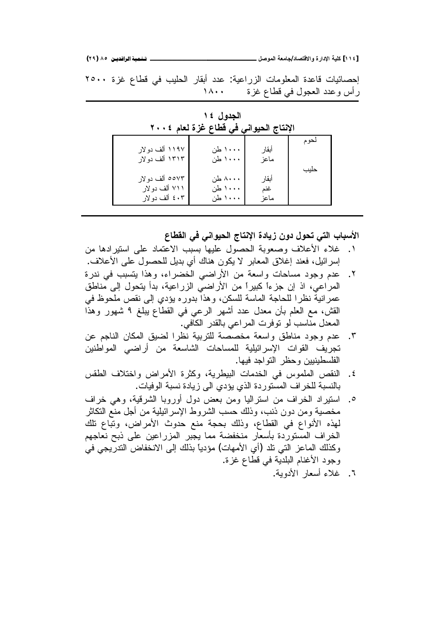**(ÏÖ) ÕÒ ÞNë¢Ë¦×ìÜàN**6666666666666666666666666666666666666666666666666666666666666666666666666666666666666**¾ŮƍƆƃŒŗŶƆœŞ/ťœŮřſƙŒƍ ŖŧŒťƗŒŗƒƄƂ [ÎÎÑ]**

لِحصائيات قاعدة المعلومات الزراعية: عدد أبقار الحليب في قطاع غزة ٢٥٠٠ ÏÖÎÎ ŘŪŻŵŕųƁƓž¿ƏŠŸƅŔŧŧŷƏūŌũ

| الإنتاج الحيواني في قطاع غزة لعام ٢٠٠٤ |         |       |      |  |  |
|----------------------------------------|---------|-------|------|--|--|
| ۱۱۹۷ ألف دولار                         | ۱۰۰۰ طن | أبقار | نحوم |  |  |
| ۱۳۱۳ ألف دولار                         | ۱۰۰۰ طن | ماعز  |      |  |  |
| ٥٥٧٣ ألف دولار                         | ۸۰۰۰ طن | أبقار | حليب |  |  |
| ۷۱۱ ألف دولار                          | ۱۰۰۰ طن | غنم   |      |  |  |
| ٤٠٣ ألف دولار                          | ۱۰۰۰ طن | ماعز  |      |  |  |

ا**لجدول ٤ ١** الإنتاج الحيوان*ي* ف*ي* قطاع غزة لعام ٢٠٠٤

الأسباب التي تحول دون زيادة الإنتاج الحيوان*ي* ف*ي* القطاع

- ١. غلاء الأعلاف وصعوبة الحصول عليها بسبب الاعتماد على استيرادها من إسرائيل، فعند إغلاق المعابر لا يكون هناك أي بديل للحصول على الأعلاف.
- ۲. عدم وجود مسلحات واسعة من الأراضي الخضراء، وهذا يتسبب في ندرة المراعي، اذ إن جزءًا كبيراً من الأراضي الزراعية، بدأ يتحول إلى مناطق عمرانية نظرا للحاجة الماسة للسكن، وهذا بدوره بؤدي إلى نقص ملحوظ في القش، مع العلم بأن معدل عدد أشهر الرعبي في القطاع يبلغ ٩ شهور وهذا المعدل منّاسب لو نوفرت المراعي بالقدر الكافي.
- ٣. عدم وجود مناطق واسعة مخصصة للتربية نظرا لضيق المكان الناجم عن تجريف القوات الإسرائيلية للمساحات الشاسعة من أراضبي المواطنين المفلسطينيين وحظر النواجد فيها.
- ٤. النقص الملموس في الخدمات البيطرية، وكثرة الأمراض واختلاف الطقس بالنسبة للخراف المستوردة الذي يؤدي الى زيادة نسبة الوفيات.
- ٥. استيراد الخراف من استراليا ومن بعض دول أوروبا الشرقية، وهي خراف مخصية ومن دون ذنب، وذلك حسب الشروط الإسر ائيلية من أجل منع النكاثر لمهذه الأنواع في القطاع، وذلك بحجة منع حدوث الأمراض، وتباع نلك الخراف المستوردة بأسعار منخفضة مما يجبر المزراعين على ذبح نعاجهم وكذلك الماعز التي نلد (أي الأمهات) مؤدياً بذلك إلى الانخفاض الندريجي في وجود الأغنام البلدية في قطاع غزة.

.řƔƏŧƗŔũŕŸŬŌ'nƜŻ .Ô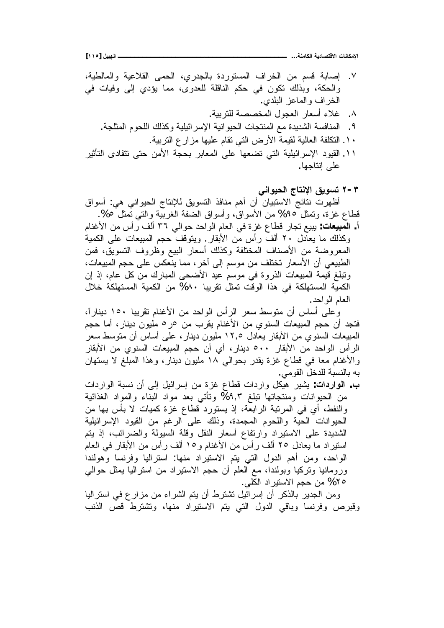**[ÎÎÒ] ¾ƒŕƌƃŒººººººººººººººººººººººººººººººººººººººººº ...ŗƈƆœƂƃŒŗƒťœŮřſƙŒ ŘœƈœƂƆƗŒ**

Y. إصابة قسم من الخراف المستوردة بالجدري، الحمى القلاعية والمالطية، والحكة، وبذلك نكون في حكم الناقلة للعدوى، مما يؤدي إلى وفيات في المخر اف و المعاعز اللبلدي. .⁄. غلاء أسعار العجول المخصصة للنر بية. ۹ . المنافسة الشديدة مع المنتجات الحيو انية الإسر ائيلية وكذلك اللحوم المثلجة . . ٢ . النكلفة العالية لقيمة الأرض التي نقام عليها مزار ع التربية . ١١. القيود الإسرائيلية التي تضعها على المعابر بحجة الأمن حتى تتفادى التأثير على إنتاجها.

**ƑƈŒƍƒšƃŒŜœřƈƗŒžƒƍŪř Ï-Ð** أظهرت نتائج الاستبيان أن أهم منافذ التسويق للإنتاج الحيواني هي: أسواق

قطاع غزة، وتمثل ٩٥% من الأسواق، وأسواق الضفة الغربية والتبي تمثل ٥%. أ. ا**لمبيعات**: يبيع تجار قطاع غزة في العام الواحد حوالي ٣٦ ألف ر أس من الأغنام وكذلك ما يعادل ٢٠ ألف رأس من الأبقار . ويتوقف حجم المبيعات على الكمية المعروضة من الأصناف المختلفة وكذلك أسعار البيع وظروف التسويق، فمن الطبيعي أن الأسعار تختلف من موسم إلى آخر، مما ينعكس على حجم المبيعات، ونَبْلَغ قَيْمَة المبيعات الذروة في موسم عيد الأضحى المبارك من كل عام، إذ إن الكمية المستهلكة في هذا الوقت تمثل تقريبا ٨٠% من الكمية المستهلكة خلال العام الو احد.

وعلى أساس أن متوسط سعر الرأس الواحد من الأغنام نقريبا ١٥٠ ديناراً، فتجد أن حجم المبيعات السنوى من الأغنام يقرب من ٥ر٥ مليون دينار، أما حجم المبيعات السنوي من الأبقار يعادل ١٢,٥ مليون دينار ، على أساس أن متوسط سعر الر أس الواحد من الأبقار ٥٠٠ دينار ، أي أن حجم المبيعات السنو ي من الأبقار والأغنام معا في قطاع غزة يقدر بحوالي ١٨ مليون دينار، وهذا المبلغ لا يستهان به بالنسبة للدخل القومي.

ب. ا**لنواردات**: يشير هيكل واردات قطاع غزة من إسرائيل إلىي أن نسبة الواردات من الحيوانات ومنتجاتها تبلغ ٩,٣% وتأتي بعد مواد البناء والمواد الغذائية والنفط، أي في المرتبة الرابعة، إذ يستورد قطاع غزة كميات لا بأس بها من الحيوانات الحية واللحوم المجمدة، وذلك على الرغم من القيود الإسرائيلية الشديدة على الاستيراد وارتفاع أسعار النقل وقلة السيولة والضرائب، إذ بتم استيراد ما يعادل ٢٥ ألف رأس من الأغنام و١٥ ألف رأس من الأبقار في العام الواحد، ومن أهم الدول التي يتم الاستيراد منها: استراليا وفرنسا وهولندا ورومانيا ونركيا وبولندا، مع العلم أن حجم الاستيراد من استراليا يمثل حوالمي ه ٢% من حجم الاستيراد الكلي.

ومن الجدير بالذكر أن إسرائيل تشترط أن يتم الشراء من مزارع في استراليا وقبرص وفرنسا وباقى الدول التى بتم الاستيراد منها، وتشترط قص الذنب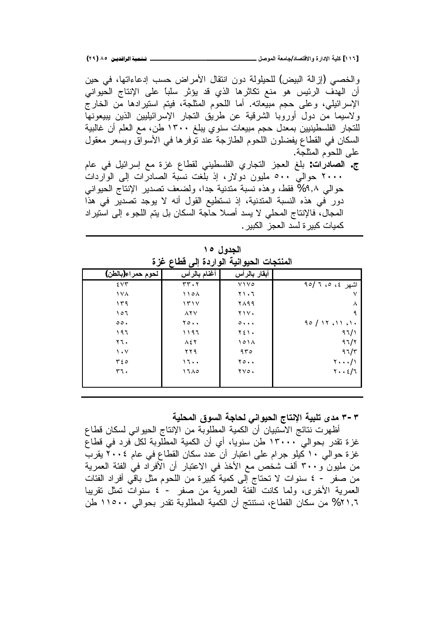والخصبي (إزالة البيض) للحيلولة دون انتقال الأمراض حسب إدعاءاتها، في حين أن الهدف الرئيس هو منع تكاثرها الذي قد يؤثر سلباً على الإنتاج الحيواني الإسرائيلي، وعلى حجم مبيعاته. أما اللحوم المثلجة، فيتم استيرادها من الخارج ولاسيما من دول أوروبا الشرقية عن طريق النجار الإسرائيليين الذين بببيعونها للتجار الفلسطينيين بمعدل حجم مبيعات سنوي يبلغ ١٣٠٠ طن، مع العلم أن غالبية السكان في القطاع يفضلون اللحوم الطازجة عند نوفرها في الأسواق وبسعر معقول على اللحوم المثلجة.

ج. ا**لصادرات**: بلغ العجز التجاري الفلسطيني لقطاع غزة مع إسرائيل في عام ۲۰۰۰ حوالی °° ملیون دولار، إذ بلغت نسبة الصادرات إلى الواردات حوالى ٩,٨% فقط، وهذه نسبة متدنية جدا، ولضعف تصدير الإنتاج الحيواني دور في هذه النسبة المندنية، إذ نستطيع القول أنه لا يوجد تصدير في هذا المجال، فالإنتاج المحلي لا يسد أصلا حآجة السكان بل يتم اللجوء إلى استيراد كميات كبير ة لسد العجز الكبير .

| لین کی مسیحی<br>$\tau$ -<br>$\overline{\phantom{a}}$ |                                |                             |                                             |  |  |
|------------------------------------------------------|--------------------------------|-----------------------------|---------------------------------------------|--|--|
| لحوم حمراء(بالطن)                                    | أغنام بالرأس                   | أبقار بالرأس                |                                             |  |  |
| 55 <sup>2</sup>                                      | $rr \cdot r$                   | V1V0                        | اشهر ٤، ٥، ٦ /٩٥                            |  |  |
| 1 Y A                                                | 110 <sub>A</sub>               | ۲۱۰٦                        |                                             |  |  |
| ۲۹ (                                                 | 151Y                           | ۲۸۹۹                        | Λ                                           |  |  |
| 7 0 1                                                | $\lambda$ $\lambda$ $\vee$     | Y                           | ٩                                           |  |  |
| $\circ \circ$ .                                      | $\mathbf{y} \circ \cdot \cdot$ | $0 \cdot \cdot \cdot$       | $90 / 17$ $(1)$ $(1)$                       |  |  |
| ۱۹٦                                                  | ۱۱۹۶                           | ۲٤١٠                        | 97/1                                        |  |  |
| ۲٦.                                                  | $\Lambda$ { $\Upsilon$         | 101 <sub>A</sub>            | 97/7                                        |  |  |
| $\mathcal{N}$                                        | ۲۲۹                            | 970                         | $97/\tau$                                   |  |  |
| $r \epsilon$                                         | 17                             | 70                          | $\mathbf{Y} \cdot \cdot \cdot / \mathbf{Y}$ |  |  |
| ٣٦.                                                  | 17A0                           | $\gamma \gamma \circ \cdot$ | $Y \cdot \cdot 2/7$                         |  |  |
|                                                      |                                |                             |                                             |  |  |
|                                                      |                                |                             |                                             |  |  |

**الجدول ۱۰** المنتحات الحيوانية الواردة ال*ي* قطاع غزة

**ŗƒƄšƆƃŒžƍŪƃŒŗŞœšƃƑƈŒƍƒšƃŒŜœřƈƗŒŗƒŕƄřƎťƆ Ð-Ð**

أظهرت نتائج الاستبيان أن الكمية المطلوبة من الإنتاج الحيواني لسكان قطاع غزة تقدر بحوالي ١٣٠٠٠ طن سنويا، أي أن الكمية المطلوبة لكل فرد في قطاع غزة حوالي ١٠ كيلو جرام على اعتبار أن عدد سكان القطاع في عام ٢٠٠٤ يقرب من مليون و ٣٠٠ ألف شخص مع الأخذ في الاعتبار أن الأفراد في الفئة العمرية من صفر - ٤ سنوات لا تحتاج إلى كمية كبيرة من اللحوم مثل باقى أفراد الفئات العمرية الأخرى، ولما كانت الفئة العمرية من صفر - ٤ سنوات تمثل تقريبا ۲۱،۲% من سكان القطاع، نستنتج أن الكمية المطلوبة تقدر بحوالي ۱۱۰۰۰ طن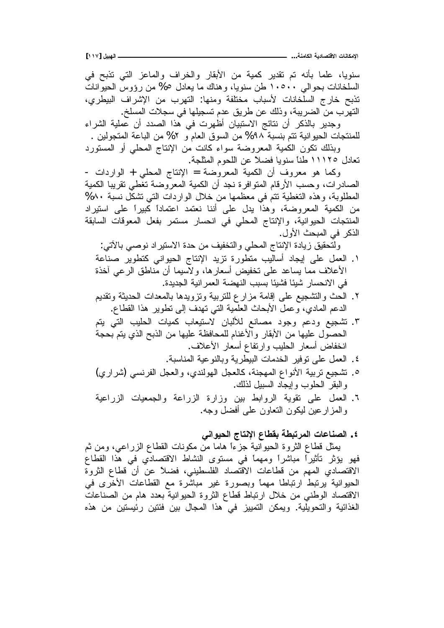سنويا، علما بأنه تم تقدير كمية من الأبقار والخراف والماعز التبي تذبح في السلخانات بحوالي ١٠٥٠٠ طن سنويا، وهناك ما يعادل ٥% من رؤوس الحيوانات تذبح خارج السلخانات لأسباب مختلفة ومنها: التهرب من الإشراف البيطري، النهرب من الضريبة، وذلك عن طريق عدم تسجيلها في سجلات المسلخ. وجدير بالذكر أن نتائج الاستبيان أظهرت في هذا الصدد أن عملية الشراء للمنتجات الحيوانية تتم بنسبة ٩٨% من السوق العام و ٢% من الباعة المتجولين . وبذلك نكون الكمية المعروضة سواء كانت من الإنتاج المحلي أو المستورد تعادل ١١١٢٥ طناً سنويا فضلاً عن اللحوم المثلجة. وكما هو معروف أن الكمية المعروضة = الإنتاج المحلي + الواردات -الصادرات، وحسب الأرقام المتوافرة نجد أن الكمية المعروضة تغطي تقريبا الكمية المطلوبة، وهذه النغطية نتم في معظمها من خلال الواردات التي تشكل نسبة ٨٠% من الكمية المعروضة، وهذا يدل على أننا نعتمد اعتماداً كبيراً على استيراد المنتجات الحيوانية، والإنتاج المحلي في انحسار مستمر بفعل المعوفات السابقة الذكر في المبحث الأول. ولتحقيق زيادة الإنتاج المحلي والتخفيف من حدة الاستيراد نوصي بالأتي: ۰. العمل على إيجاد أساليب منطورة نزيد الإنتاج الحيواني كتطوير صناعة الأعلاف مما يساعد علىي تخفيض أسعارها، ولاسيما أن مناطق الرعبي أخذة في الانحسار شيئا فشيئا بسبب النهضة العمر انية الجديدة. ۲. الحث والنشجيع على إقامة مزارع للنربية ونزويدها بالمعدات الحديثة ونقديم الدعم المادي، وعمل الأبحاث العلمية التي تهدف إلى نطوير هذا القطاع. ۳. تشجيع ودعم وجود مصانع للألبان لاستيعاب كميات الحليب التي يتم الحصول عليها من الأبقار والأغنام للمحافظة عليها من الذبح الذي يتم بحجة انخفاض أسعار الحليب وارتفاع أسعار الأعلاف. ٤. العمل على نوفير الخدمات البيطرية وبالنوعية المناسبة. ه. تشجيع نربية الأنواع المهجنة، كالعجل الهولندي، والعجل الفرنسي (شراري) والبقر الحلوب وإيجاد السبيل لذلك. <sup>7</sup>. العمل على نقوية الروابط بين وزارة الزراعة والجمعيات الزراعية والمزارعين ليكون النعاون علىي أفضل وجه. **ƑƈŒƍƒšƃŒŜœřƈƗŒųœűƀŕŗűŕřŧƆƃŒŘœŵœƈŮƃŒ .Ñ** يمثل قطاع الثروة الحيوانية جزءاً هاما من مكونات القطاع الزراعي، ومن ثم فهو يؤثر تأثيراً مباشراً ومهماً في مستوى النشاط الاقتصادي في هذا القطاع الاقتصادي المهم من قطاعات الاقتصاد الفلسطيني، فضلاً عن أن قطاع الثروة الْحِيوانية بِرتبط ارتباطًا مهماً وبصورة غير مباشرة مع القطاعات الأخرى في الاقتصاد الوطني من خلال ارتباط قطاع الثروة الحيوانية بعدد هام من الصناعات الغذائية والتحويلية. ويمكن التمييز في هذا المجال بين فئتين رئيستين من هذه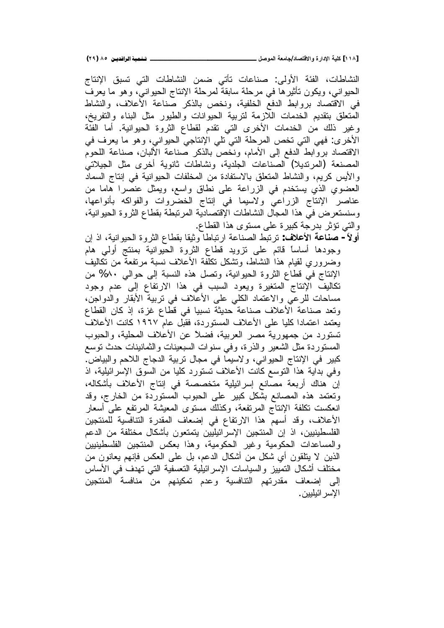النشاطات، الفئة الأولى: صناعات تأتى ضمن النشاطات التي تسبق الإنتاج الحيواني، ويكون تأثيرها في مرحلة سابقة لمرحلة الإنتاج الحيواني، وهو ما يعرف في الاقتصاد بروابط الدفع الخلفية، ونخص بالذكر صناعة الأعلاف، والنشاط المتعلق بتقديم الخدمات اللازمة لتربية الحيوانات والطيور مثل البناء والتفريخ، وغير ذلك من الخدمات الأخرى التي تقدم لقطاع الثروة الحيوانية. أما الفئة الأخرى: فهي التي تخص المرحلة التي تلي الإنتاجي الحيواني، وهو ما يعرف في الاقتصاد بروابط الدفع إلى الأمام، ونخص بالذكر صناعة الألبان، صناعة اللحوم المصنعة (المرنديلا) الصناعات الجلدية، ونشاطات ثانوية أخرى مثل الجيلاتي والأيس كريم، والنشاط المتعلق بالاستفادة من المخلفات الحيوانية في إنتاج السماد العضوي الذي يستخدم في الزراعة على نطاق واسع، ويمثل عنصرا هاما من عناصر الإنتاج الزراعي ولاسيما في إنتاج الخضروات والفواكه بأنواعها، وسنستعرض في هذا المجال النشاطات الإقتصادية المرتبطة بقطاع الثروة الحيوانية، والتي نؤثر بدرجة كبيرة على مستوى هذا القطاع.

**أولاً – صناعة الأعلاف**: ترتبط الصناعة ارتباطا وثيقا بقطاع الثروة الحيوانية، اذ إن وجودها أساساً فائم على نزويد فطاع الثروة الحيوانية بمنتج أولى هام وضىروري لقيام هذا النشاط، ونشكل نكلفة الأعلاف نسبة مرتفعة من نكاليف الإنتاج في قطاع الثروة الحيوانية، وتصل هذه النسبة إلى حوالي ٨٠% من تكاليف الإنتاج المتغيرة ويعود السبب في هذا الارتفاع إلى عدم وجود مساحات للرعى والاعتماد الكلبي على الأعلاف في نربية الأبقار والدواجن، ونعد صناعة الأعلاف صناعة حديثة نسبيا في قطاع غزة، إذ كان القطاع يعتمد اعتمادا كليا على الأعلاف المستوردة، فقبل عام ١٩٦٧ كانت الأعلاف تستورد من جمهورية مصر العربية، فضلاً عن الأعلاف المحلية، والحبوب المستوردة مثل الشعير والذرة، وفي سنوات السبعينات والثمانينات حدث توسع كبير في الإنتاج الحيواني، ولاسيما في مجال تربية الدجاج اللاحم والبياض. وفي بداية هذا التوسع كانت الأعلاف تستورد كليا من السوق الإسرائيلية، اذ إن هناك أربعة مصانع إسرائيلية متخصصة في إنتاج الأعلاف بأشكاله، وتعتمد هذه المصانع بشكل كبير على الحبوب المستوردة من الخارج، وقد انعكست نكلفة الإنتاج المرتفعة، وكذلك مستوى المعيشة المرتفع على أسعار الأعلاف، وقد أسهم هذا الارتفاع في إضعاف المقدرة التنافسية للمنتجين الْفَلْسطَينيين، اذ إن المنتجين الإسرائيليين يتمتعون بأشكال مختلفة من الدعم والمساعدات الحكومية وغير الحكومية، وهذا بعكس المنتجين الفلسطينيين الذين لا يتلقون أي شكل من أشكال الدعم، بل على العكس فإنهم يعانون من مختلف أشكال التمييز والسياسات الإسرائيلية التعسفية التي تهدف في الأساس إلى إضعاف مقدرتهم التنافسية وعدم تمكينهم من منافسة المنتجين الإسر ائيليين .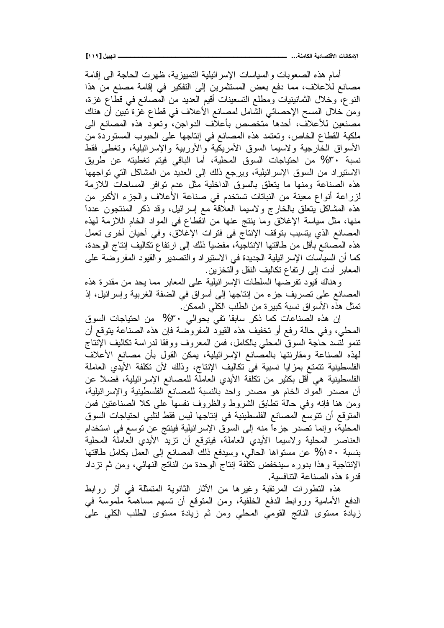**[ÎÎÖ] ¾ƒŕƌƃŒººººººººººººººººººººººººººººººººººººººººº ...ŗƈƆœƂƃŒŗƒťœŮřſƙŒ ŘœƈœƂƆƗŒ**

أمام هذه الصعوبات والسياسات الإسرائيلية التمييزية، ظهرت الحاجة الىي إقامة مصـانـع للاعلاف، مما دفـع بـعض المستثمرين إلى التفكير فـي إقامة مصنـع من هذا النوع، وخلال الثمانينيات ومطلع التسعينات أقيم العديد من المصانع في قطاع غزة، ومن خلال المسح الإحصائيي الشامل لمصانع الأعلاف في قطاع غزة نبين أن هناك مصنعين للأعلاف، أحدها متخصص بأعلاف الدواجن، وتعود هذه المصانع الى ملكية القطاع الخاص، وتعتمد هذه المصانع في إنتاجها على الحبوب المستوردة من الأسواق الخارجية ولاسيما السوق الأمريكية والأوربية والإسرائيلية، وتغطى فقط نسبة ٣٠% من احتياجات السوق المحلية، أما الباقي فيتم تغطيته عن طريق الاستيراد من السوق الإسرائيلية، ويرجع ذلك إلى العديد من المشاكل التبي نواجهها هذه الصناعة ومنها ما بِتعلّق بالسوق الداخلية مثل عدم نوافر المساحات اللازمة لزراعة أنواع معينة من النباتات تستخدم في صناعة الأعلاف والجزء الأكبر من هذه المشاكل يتعلق بالخارج ولاسيما العلاقة مع إسرائيل، وقد ذكر المنتجون عدداً منها، مثل سياسة الإغلاق وما بنتج عنها من انقطاع في المواد الخام اللازمة لهذه المصانع الذي يتسبب بتوقف الإنتاج في فترات الإغلاق، وفي أحيان أخرى تعمل هذه المصانع بأقل من طاقتها الإنتاجية، مفضياً ذلك إلى ارتفاع تكاليف إنتاج الوحدة، كما أن السياسات الإسرائيلية الجديدة في الاستيراد والتصدير والقيود المفروضة على المعابر أدت إلى ارتفاع تكاليف النقل والتخزين.

وِهناك قيود نفرضها السلطات الإسرائيلية على المعابر مما يحد من مقدرة هذه المصـانـع علـي تصـريف جزء من ابنتاجها إلـي أسواق فـي الضفة الـغربية وإسرائيل، إذ نمثل هذه الأسواق نسبة كبير ة من الطلب الكلي الممكن .

إن هذه الصناعات كما ذكر سابقا تفي بحوالي ٣٠% من احتياجات السوق المحلي، وفي حالة رفع أو تخفيف هذه القيود المفروضة فإن هذه الصناعة يتوقع أن تنمو لتسد حاجة السوق المحلي بالكامل، فمن المعروف ووفقا لدراسة نكاليف الإنتاج لمهذه الصناعة ومقارنتها بالمصانع الإسرائيلية، يمكن القول بأن مصانع الأعلاف الفلسطينية تتمتع بمزايا نسبية في تكاليف الإنتاج، وذلك لأن تكلفة الأيدي العاملة الفلسطينية هي أقل بكثير من تكلفة الأيدي العاملة للمصانع الإسرائيلية، فضلاً عن أن مصدر المواد الخام هو مصدر واحد بالنسبة للمصانع الفلسطينية والإسرائيلية، ومن هنا فإنه وفي حالة نطابق الشروط والظروف نفسها على كلا الصناعتين فمن المتوقع أن تتوسع المصانع الفلسطينية في إنتاجها ليس فقط لتلبي احتياجات السوق المحلية، وإنما نصدر جزءاً منه إلى السوق الإسرائيلية فينتج عن نوسع في استخدام العناصر المحلية ولاسيما الأبدى العاملة، فيتوقع أن نزيد الأبدى العاملة المحلية بنسبة 10% عن مستواها الحالي، وسيدفع ذلك المصانع إلى العمل بكامل طاقتها الإنتاجية وهذا بدوره سينخفض تكلفة إنتاج الوحدة من الناتج النهائبي، ومن ثم تزداد قدر ة هذه الصناعة النتافسية.

هذه النطورات المرنقبة وغيرها من الأثار الثانوية المنمثلة في أثر روابط الدفع الأمامية وروابط الدفع الخلفية، ومن المتوقع أن تسهم مساهمة ملموسة في زيادة مستوى الناتج القومي المحلي ومن ثم زيادة مستوى الطلب الكلبي على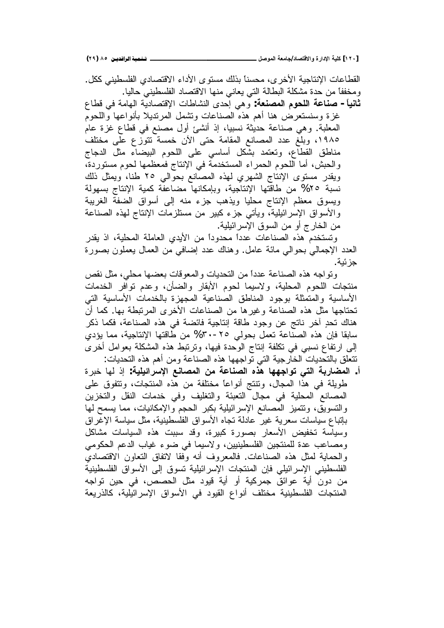**(ÏÖ) ÕÒ ÞNë¢Ë¦×ìÜàN**6666666666666666666666666666666666666666666666666666666666666666666666666666666666666**¾ŮƍƆƃŒŗŶƆœŞ/ťœŮřſƙŒƍ ŖŧŒťƗŒŗƒƄƂ [ÎÏÍ]**

القطاعات الإنتاجية الأخر ي، محسنا بذلك مستو ي الأداء الاقتصادي الفلسطيني ككل . ومخففاً من حدة مشكلة النطالة التي يعاني منها الاقتصاد الفلسطيني حاليا. **ثانياً- صناعة اللحوم المصنعة**: وهي إحدى النشاطات الإقتصادية الهامة في قطاع

غزة وسنستعرض هنا أهم هذه الصناعات وتشمل المرتديلا بأنواعها واللحوم المعلبة. وهي صناعة حديثة نسبيا، إذ أنشئ أول مصنع في قطاع غزة عام ١٩٨٥، وبلغ عدد المصانع المقامة حتى الأن خمسة تتوزع على مختلف مناطق القطاع، وتعتمد بشكل أساسى على اللحوم البيضاء مثل الدجاج والحبش، أما اللحوم الحمراء المستخدمة في الإنتاج فمعظمها لحوم مستوردة، ويقدر مستوى الإنتاج الشهري لمهذه المصانع بحوالي ٢٥ طنا، ويمثل ذلك نسبة ٢٥% من طاقتها الإنتاجية، وبإمكانها مضاعفة كمية الإنتاج بسهولة ويسوق معظم الإنتاج محليا ويذهب جزء منه إلى أسواق الضفة الغريبة والأسواق الإسرائيلية، ويأتـي جزء كبير من مستلزمات الإنتاج لـهذه الصناعة من الخارج أو من السوق الإسرائيلية.

وتستخدم هذه الصناعات عدداً محدوداً من الأيدي العاملة المحلية، اذ يقدر العدد الإجمالي بحوالي مائة عامل. وهناك عدد إضافي من العمال يعملون بصورة جزئية.

ونواجه هذه الصناعة عدداً من النحديات والمعوفات بعضها محلي، مثل نقص منتجات اللحوم المحلية، ولاسيما لحوم الأبقار والضأن، وعدم توافر الخدمات الأساسية والمتمثلة بوجود المناطق الصناعية المجهزة بالخدمات الأساسية التي تحتاجها مثل هذه الصناعة وغيرها من الصناعات الأخرى المرتبطة بها. كما أن هناك تحدٍ أخرٍ ناتجٍ عنٍ وجودٍ طاقةٍ إنتاجيةٍ فائضةٍ في هذه الصناعة، فكما ذكر سابقا فإن هذه الصناعة تعمل بحولي ٢٥-٣٠% من طاقتها الإنتاجية، مما يؤدي إلى ارتفاع نسبي في تكلفة إنتاج الوحدة فيها، وترتبط هذه المشكلة بعوامل أخرى نتعلق بالتحديات الخارجية التي تواجهها هذه الصناعة ومن أهم هذه التحديات:

أ. ا**لمضاربة التي تواجهها هذه الصناعة من المصانع الإسرائيلية**: إذ لها خبرة طويلة في هذا المجال، ونتنج أنواعاً مختلفة من هذه المنتجات، وتتفوق على المصانع المحلية في مجال التعبئة والتغليف وفي خدمات النقل والتخزين والتسويق، ونتميز المصانع الإسرائيلية بكبر الحجم والإمكانيات، مما يسمح لمها بإتباع سياسات سعرية غير عادلة تجاه الأسواق الفلسطينية، مثل سياسة الإغراق وسياسة تخفيض الأسعار بصورة كبيرة، وقد سببت هذه السياسات مشاكل ومصاعب عدة للمنتجين الفلسطينيين، ولاسيما في ضوء غياب الدعم الحكومي والحماية لمثل هذه الصناعات. فالمعروف أنه وفقا لاتفاق النعاون الاقتصادي الْفَلْسطَينِي الإسرائيلِي فإن المنتجات الإسرائيلية تسوق إلى الأسواق الفلسطينية من دون أية عوائق جمركية أو أية قيود مثل الحصص، في حين تواجه المنتجات الفلسطينية مختلف أنواع القيود في الأسواق الإسرائيلية، كالذريعة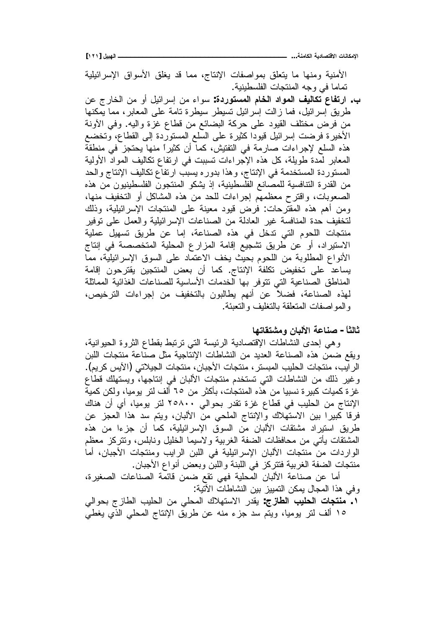**[ÎÏÎ] ¾ƒŕƌƃŒººººººººººººººººººººººººººººººººººººººººº ...ŗƈƆœƂƃŒŗƒťœŮřſƙŒ ŘœƈœƂƆƗŒ**

الأمنية ومنها ما يتعلق بمواصفات الإنتاج، مما قد يغلق الاسواق الإسرائيلية تصاما فيي وجه المنتجات الفلسطينية.

ب. ا**رتفاع تكاليف المواد الخام المستوردة**: سواء من إسرائيل أو من الخارج عن طريق ٳسرائيل، فما زالت ٳسرائيل تسيطر سيطرة تامة على المعابر، مما يمكنها من فرض مختلف القيود على حركة البضائع من قطاع غزة واليه. وفي الأونة الأخيرة فرضت إسرائيل قيودا كثيرة على السلع المستوردة إلى القطاع، وتخضع هذه السلع لإجراءات صارمة في التفتيش، كما أن كثيراً منها يحتجز في منطقة المعابر لمّدة طويلة، كل هذه الإجراءات نسببت في ارتفاع نكاليف المواد الأولية المستوردة المستخدمة في الإنتاج، وهذا بدوره يسبب ارتفاع تكاليف الإنتاج والحد من القدرة التنافسية للمصـانـع الفلسطينية، إذ يشكو المنتجون الفلسطينيون من هذه الصعوبات، واقترح معظمهم إجراءات للحد من هذه المشاكل أو التخفيف منها، ومن أهم هذه المقترحات: فرض قيود معينة على المنتجات الإسرائيلية، وذلك لتخفيف حدة المنافسة غير العادلة من الصناعات الإسرائيلية والعمل على نوفير منتجات اللحوم التي ندخل في هذه الصناعة، إما عن طريق نسهيل عملية الاستيراد، أو عن طريق تشجيع إقامة المزارع المحلية المتخصصة في إنتاج الأنواع المطلوبة من اللحوم بحيث يخف الاعتماد على السوق الإسرائيلية، مما يساعد على تخفيض تكلفة الإنتاج. كما أن بعض المنتجين يقترحون إقامة المناطق الصناعية التي تتوفر بها الخدمات الأساسية للصناعات الغذائية المماثلة لهذه الصناعة، فضلاً عن أنهم يطالبون بالتخفيف من إجراءات الترخيص، و المو اصفات المتعلقة بالتغليف و التعبئة.

ثالثاً – صناعة الألبا*ن* ومشتقاتها

وهي إحدى النشاطات الإقتصادية الرئيسة التي نرنبط بقطاع الثروة الحيوانية، ويقع ضمن هذه الصناعة العديد من النشاطات الإنتاجية مثل صناعة منتجات اللبن الرايب، منتجات الحليب المبستر ، منتجات الأجبان، منتجات الجيلاتي (الأيس كريم). وغير ذلك من النشاطات التي تستخدم منتجات الألبان في إنتاجها، ويستهلك قطاع غزة كميات كبيرة نسبيا من هذه المنتجات، بأكثر من ٦٥ ألف لتر يوميا، ولكن كمية الإنتاج من الحليب في قطاع غزة تقدر بحوالي ٢٥٨٠٠ لتر يوميا، أي أن هناك فرقا كبيرا بين الاستهلاك والإنتاج الملحى من الألبان، ويتم سد هذا العجز عن طريق استيراد مشتقات الألبان من السوق الإسرائيلية، كما أن جزءا من هذه الْمَشْتَقَات بِأَتَى مِن مَحَافِظَات الضفة الغربية ولاسيما الْخَلَيْل ونابلس، وتتركَّز معظم الواردات من منتجات الألبان الإسرائيلية في اللبن الرايب ومنتجات الأجبان، أما منتجات الضفة الغربية فتتركز في اللبنة واللبن وبعض أنواع الأجبان.

أما عن صناعة الألبان المحلية فهي تقع ضمن قائمة الصناعات الصغيرة، وفي هذا المجال يمكن التمييز بين النشاطات الأَتّية:

ƓƅŔƏţŗŞŪŕųƅŔŖƔƆţƅŔ Ɖƈ ƓƆţƈƅŔƃƜƎśŬƛŔũŧƂƔ **:ŜŨœűƃŒ ŔƒƄšƃŒ ŘœŞřƈƆ .Î** ١٥ ألف لتر بوميا، ويتم سد جزء منه عن طريق الإنتاج المحلي الذي يغطي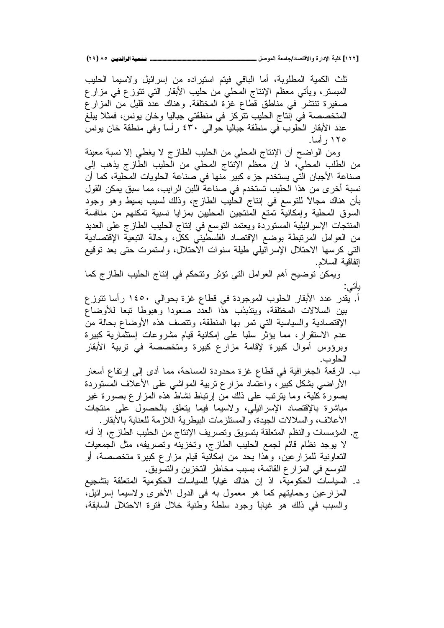**(ÏÖ) ÕÒ ÞNë¢Ë¦×ìÜàN**6666666666666666666666666666666666666666666666666666666666666666666666666666666666666**¾ŮƍƆƃŒŗŶƆœŞ/ťœŮřſƙŒƍ ŖŧŒťƗŒŗƒƄƂ [ÎÏÏ]**

نثلث الكمية المطلوبة، أما الباقي فيتم استيراده من إسرائيل ولاسيما الحليب المبستر، ويَأتني معظم الإنتاج المحلي من حليب الأبقار التبي نتوزع في مزارع صغيرة تنتشر في مناطق قطاع غزة المختلفة. وهناك عدد قليل من المزارع المتخصصة في إنتاج الحليب نتركز في منطقتي جباليا وخان يونس، فمثلا يبلغ عدد الأبقار الحلوب في منطقة جباليا حوالي ٤٣٠ رأساً وفي منطقة خان يونس ۱۲۵ ر أسا.

ومن الواضح أن الإنتاج المحلي من الحليب الطازج لا يغطي إلا نسبة معينة من الطلب المحلي، اذ إن معظم الإنتاج المحلي من الحليب الطازج يذهب إلى صناعة الأجبان التي يستخدم جزء كبير منها في صناعة الحلويات المحلية، كما أن نسبة أخرى من هذا الحليب تستخدم في صناعة اللبن الرايب، مما سبق يمكن القول بأن هناك مجالاً للتوسع في إنتاج الحليب الطازج، وذلك لسبب بسيط وهو وجود السوق المحلية وإمكانية تمتع المنتجين المحليين بمزايا نسبية تمكنهم من منافسة المنتجات الإسرائيلية المستوردة ويعتمد التوسع في إنتاج الحليب الطازج على العديد من العوامل المرتبطة بوضع الإقتصاد الفلسطيني ككلّ، وحالة التبعية الإقتصادية التي كرسها الاحتلال الإسرائيلي طيلة سنوات الاحتلال، واستمرت حتى بعد توقيع اِنفاقية السلام.

ويمكن توضيح أهم العوامل التي تؤثر وتتحكم في إنتاج الحليب الطازج كما یاتی:

- أ. يقدر عدد الأبقار الحلوب الموجودة في قطاع غزة بحوالبي ١٤٥٠ رأسا نتوزع بين السلالات المختلفة، ويتذبذب هذا العدد صعودا وهبوطا تبعا للأوضاع الإقتصادية والسياسية التبي تمر بها المنطقة، وتتصف هذه الأوضاع بحالة من عدم الاستقرار، مما يؤثر سلبا على إمكانية قيام مشروعات إستثمارية كبيرة وبرؤوس أموال كبيرة لإقامة مزارع كبيرة ومتخصصة فى تربية الأبقار الحلو ب.
- ب. الرقعة الجغرافية في قطاع غزة محدودة المساحة، مما أدى إلى إرتفاع أسعار الأراضي بشكل كبير، واعتماد مزارع نربية المواشي على الأعلاف المستوردة بصورة كلية، وما ينرنب على ذلك من إرتباط نشاط هذه المزارع بصورة غير مباشرة بالإقتصاد الإسرائيلي، ولاسيما فيما يتعلق بالحصول علم منتجات الأعلاف، والسلالات الجيدة، والمستلزمات البيطرية اللازمة للعناية بالأبقار .
- ج. المؤسسات والنظم المتعلقة بتسويق وتصريف الإنتاج من الحليب الطازج، إذ أنه لا يوجد نظام قائم لجمع الحليب الطازج، وتخزينه وتصريفه، مثل الجمعيات التعاونية للمزارعين، وهذا يحد من إمكانية قيام مزارع كبيرة متخصصة، أو التوسع في المزار ع القائمة، بسبب مخاطر التخزين والتسويق.
- د. السياسات الحكومية، اذ إن هناك غيابا للسياسات الحكومية المتعلقة بتشجيع المزارعين وحمايتهم كما هو معمول به في الدول الأخرى ولاسيما إسرائيل، والسبب في ذلك هو غياباً وجود سلطة وطنية خلال فترة الاحتلال السابقة،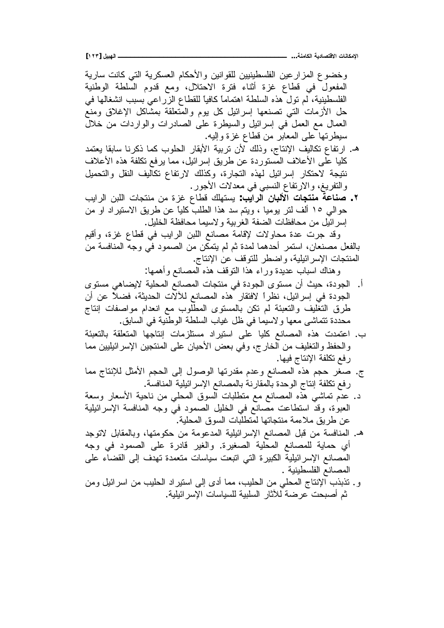وخضوع المزارعين الفلسطينيين للقوانين والأحكام العسكرية التبي كانت سارية المفعول في قطاع غزة أثناء فترة الاحتلال، ومع قدوم السلطة الوطنية الْفَلْسَطِينِيَّة، لَم تُول هذه السلطة اهتماماً كافياً للقطاع الزراعي بسبب انشغالها في حل الأزمات التي تصنعها إسرائيل كل يوم والمنعلقة بمشاكل الإغلاق ومنع العمال مع العمل في إسرائيل والسيطرة على الصادرات والواردات من خلال سيطرنها على المعابر من قطاع غزة وإليه.

- ه ارتفاع تكاليف الإنتاج، وذلك لأن تربية الأبقار الحلوب كما ذكرنا سابقا يعتمد كليا على الأعلاف المستوردة عن طريق إسرائيل، مما يرفع تكلفة هذه الأعلاف نتيجة لاحتكار إسرائيل لمهذه التجارة، وكذلك لارتفاع تكاليف النقل والتحميل والتفريغ، والارتفاع النسبي في معدلات الأجور .
- ŖƔŔũƅŔƉŗƆƅŔŚŕŠśƊƈƉƈŘŪŻ ŵŕųƁƃƆƎśŬƔ **:ŔƒŒŧƃŒ ƇœŕƃƕŒŘœŞřƈƆ ŗŵœƈŮ .Ï** حو الى ١٥ ألف لتر. يوميا ، ويتم سد هذا الطلب كلياً عن طريق الاستير اد او من إسرائيل من محافظات الضفة الغربية ولاسيما محافظة الخليل.

وقد جرت عدة محاولات لإقامة مصانع اللبن الرايب في قطاع غزة، وأقيم بالفعل مصنعان، استمر أحدهما لمدة ثم لم يتمكن من الصمود في وجه المنافسة من المنتجات الإسر ائيلية، واضطر للنوفف عن الإنتاج.

وهناك اسباب عديدة وراء هذا النوقف هذه المصانع وأهمها:

- أ. الجودة، حيث أن مستوى الجودة في منتجات المصانع المحلية لايضاهي مستوى الجودة في إسرائيل، نظراً لافتقار هذه المصانع للألات الحديثة، فضلاً عن أن طرق التغليف والتعبئة لم تكن بالمستوى المطلوب مع انعدام مواصفات إنتاج محددة نتماشى معها ولاسيما في ظل غياب السلطة الوطّنية في السابق.
- ب. اعتمدت هذه المصانع كليا على استيراد مستلزمات إنتاجها المتعلقة بالتعبئة والحفظ والنغليف من الخارج، وفي بعض الأحيان على المنتجين الإسرائيليين مما رفع تكلفة الإنتاج فيها.
- ج. صغر حجم هذه المصانع وعدم مقدرتها الوصول إلىي الحجم الأمثل للإنتاج مما رفع نكلفة إنتاج الوحدة بالمقارنة بالمصانع الإسرائيلية المنافسة.
- د. عدم تماشي هذه المصانع مع متطلبات السوق المحلي من ناحية الأسعار وسعة العبوٰة، وقدَّ استطاعت مصَّانّع في الخليل الصمود في وجه المنافسة الإسرائيلية عن طريق ملاءمة منتجاتها لمنطلبات السوق المحلية.
- ه. المنافسة من قبل المصانع الإسرائيلية المدعومة من حكومتها، وبالمقابل لاتوجد أي حماية للمصانع المحلية الصغيرة. والغير قادرة على الصمود في وجه المصانع الإسرائيلية الكبيرة التي انبعت سياسات متعمدة تهدف إلى القضاء على المصانع الفلسطينية .
- و . نذبذب الإنتاج المحلي من الحليب، مما أدى إلى استيراد الحليب من اسرائيل ومن ثم أصبحت عرضة للأثار السلبية للسياسات الإسر ائيلية.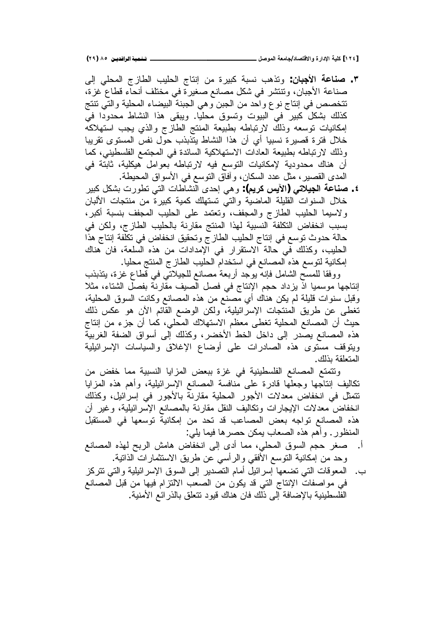**(ÏÖ) ÕÒ ÞNë¢Ë¦×ìÜàN**6666666666666666666666666666666666666666666666666666666666666666666666666666666666666**¾ŮƍƆƃŒŗŶƆœŞ/ťœŮřſƙŒƍ ŖŧŒťƗŒŗƒƄƂ [ÎÏÑ]**

Ƒƅŏ ƓƆţƈƅŔ ŞŪŕųƅŔ ŖƔƆţƅŔ ŞŕśƊŏ Ɖƈ ŘũƔŗƄ řŗŬƊ ŖƍŨśƏ **:ƇœŕŞƕŒ ŗŵœƈŮ .Ð** صناعة الأجبان، وتنتشر في شكل مصانع صغيرة في مختلف أنحاء قطاع غزة، تتخصص في إنتاج نوع واحد من الجبن وهي الجبنة البيضاء المحلية والتي نتنج كذلك بشكل كبير في البيوت وتسوق محليا. ويبقى هذا النشاط محدودا في إمكانيات نوسعه وذلك لارتباطه بطبيعة المنتج الطازج والذي يجب استهلاكه خلال فترة قصيرة نسبيا أي أن هذا النشاط يتذبذب حول نفس المستوى تقريبا وذلك لارتباطه بطبيعة العادات الاستهلاكية السائدة في المجتمع الفلسطيني، كما أن هناك محدودية لإمكانيات التوسع فيه لارتباطه بعوامل هيكلية، ثابتة في المدى القصير ، مثل عدد السكان ، وأفاق التوسع في الأسواق المحيطة .

ũƔŗƄ¿ƄŮŗŚũƏųśƓśƅŔŚŕųŕŮƊƅŔ ƐŧţŏƓƍƏ **:(ƅƒŧƂũƒƓŒ)ƑřƚƒŞƃŒŗŵœƈŮ .Ñ** خلال السنوات القليلة الماضية والتي تستهلك كمية كبيرة من منتجات الألبان ولاسيما الحليب الطازج والمجفف، وتعتمد على الحليب المجفف بنسبة أكبر، بسبب انخفاض النكلفة النسبية لهذا المنتج مقارنة بالحليب الطازج، ولكن في حالة حدوث نوسع في إنتاج الحليب الطازج وتحقيق انخفاض في تكلفة إنتاج هذا الحليب، وكذلك في حالة الاستقرار في الإمدادات من هذه السلعة، فان هناك إمكانية لتوسع هذه المصانع في استخدام الحليب الطازج المنتج محليا.

ووفقا للمسح الشامل فإنه يوجد أربعة مصانع للجيلاتي في قطاع غزة، يتذبذب إنتاجها موسميا اذ يزداد حجم الإنتاج في فصل الصيف مقارنة بفصل الشتاء، مثلا وقُبِلَ سنواتِ قُلْيَلَة لَمْ يَكِنْ هَنَاكَ أي مصنع من هذه المصانع وكانت السوقي المحلية، تغطي عن طريق المنتجات الإسرائيلية، ولكن الوضع القائم الأن هو عكس ذلك حيث أن المصانع المحلية تغطي معظم الاستهلاك المحلي، كما أن جزء من إنتاج هذه المصانع يصدر إلى داخل الخط الأخضر، وكذلك إلى أسواق الضفة الغربية ويتوقف مستوى هذه الصادرات على أوضاع الإغلاق والسياسات الإسرائيلية المتعلقة بذلك.

ونتمتع المصانع الفلسطينية في غزة ببعض المزايا النسبية مما خفض من تكاليف إنتاجها وجعلها قادرة على منافسة المصانع الإسرائيلية، وأهم هذه المزايا تتمثّل في انخفاض معدلات الأجور المحلية مقارنة بالأجور في إسرائيل، وكذلك انخفاض معدلات الإيجارات ونكاليف النقل مقارنة بالمصانع الإسرائيلية، وغير أن هذه المصانع تواجه بعض المصاعب قد تحد من إمكانية توسعها في المستقبل المنظور . وأهم هذه الصعاب يمكن حصرها فيما يلي:

- أ. صغر حجم السوق المحلي، مما أدى إلى انخفاض هامش الربح لهذه المصانع وحد من امكانية النوسع الأفقى والرأسى عن طريق الاستثمارات الذانية.
- ب. المعوفات النبي نضعها إسرائيل أمام النصدير إلىي السوق الإسرائيلية والنبي نتزكز في مواصفات الإنتاج التي قد يكون من الصعب الالتزام فيها من قبل المصانع الفلسطينية بالإضافة إلى ذلك فان هناك قيود نتعلق بالذرائع الامنية.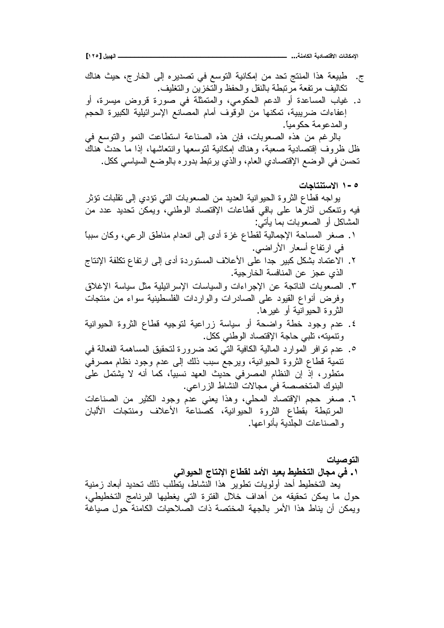**[ÎÏÒ] ¾ƒŕƌƃŒººººººººººººººººººººººººººººººººººººººººº ...ŗƈƆœƂƃŒŗƒťœŮřſƙŒ ŘœƈœƂƆƗŒ**

- ج. طبيعة هذا المنتج تحد من إمكانية التوسع في تصدير ه إلى الخارج، حيث هناك تكاليف مر تفعة مر تبطة بالنقل و الحفظ و التخز بن و التغليف. د. غياب المساعدة أو الدعم الحكومي، والمنمثلة في صورة قروض ميسرة، أو إعفاءات ضريبية، تمكنها من الوقوف أمام المصانع الإسرائيلية الكبيرة الحجم و المدعو مة حكو مياً. بالرغم من هذه الصعوبات، فإن هذه الصناعة استطاعت النمو والتوسع في ظل ظروف إقتصادية صعبة، وهناك إمكانية لتوسعها وإنتعاشها، إذا ما حدث هناك تحسن في الوضع الإقتصادي العام، والذي يرتبط بدوره بالوضع السياسي ككل. **ŘœŞœřƈřŪƙŒ Î-Ò** يواجه قطاع الثروة الحيوانية العديد من الصعوبات التي نؤدي إلىي نقلبات نؤثر فيه وتتعكس أثارها على باقى فطاعات الإقتصاد الوطني، ويمكن تحديد عدد من المشاكل أو الصعوبات بما يأتبي: ا ـ صغر المساحة الإجمالية لقطاع غزة أدى إلى انعدام مناطق الرعي، وكان سببا في ارتفاع أسعار الأراضي. ٢. الاعتماد بشكل كبير جدا على الأعلاف المستوردة أدى إلى ارتفاع تكلفة الإنتاج الذي عجز عن المنافسة الخارجبة. ٣. الصعوبات الناتجة عن الإجراءات والسياسات الإسرائيلية مثل سياسة الإغلاق وفرض أنواع القيود على الصادرات والواردات الفلسطينية سواء من منتجات الْمَرْ و ۃ الْحيو انيـٰه أو ۖ غير ها ـ
- ٤. عدم وجود خطة واضحة أو سياسة زراعية لتوجيه قطاع الثروة الحيوانية ونتميته، تلبي حاجة الإقتصاد الوطنبي ككل.
- 0 ـ عدم نو افر الموارد المالية الكافية التي نعد ضرورة لتحقيق المساهمة الفعالة في تنمية قطاع الثروة الحيوانية، ويرجع سبب ذلك إلى عدم وجود نظام مصرفي منطور، إذ إن النظام المصرفي حديث العهد نسبيًا، كما أنه لا يشتمل على البنوك المتخصصة في مجالات النشاط الزراعي.
- ٢. صغر حجم الإقتصاد المحلي، وهذا يعني عدم وجود الكثير من الصناعات المر نبطة بقطاع الثروة الحيوانية، كصناعة الأعلاف ومنتجات الألبان و الصناعات الجلدية بأنو اعها.

ا**لتو صبـات** 

**ƑƈŒƍƒšƃŒŜœřƈƗŒųœűƀƃťƆƕŒťƒŶŕűƒűŤřƃŒ¾œŞƆƑż .Î**

بعد التخطيط أحد أولويات تطوير هذا النشاط، بتطلب ذلك تحديد أبعاد زمنية حول ما يمكن تحقيقه من أهداف خلال الفترة التي يغطيها البرنامج التخطيطي، ويمكن أن يناط هذا الأمر بالجهة المختصة ذات الصلاحيات الكامنة حول صياغة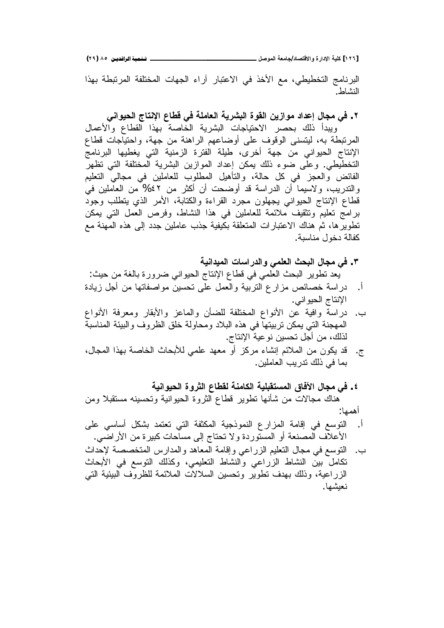**(ÏÖ) ÕÒ ÞNë¢Ë¦×ìÜàN**6666666666666666666666666666666666666666666666666666666666666666666666666666666666666**¾ŮƍƆƃŒŗŶƆœŞ/ťœŮřſƙŒƍ ŖŧŒťƗŒŗƒƄƂ [ÎÏÓ]**

البرنامج التخطيطي، مع الأخذ في الاعتبار أراء الجهات المختلفة المرتبطة بهذا النشاط.

**ƑƈŒƍƒšƃŒŜœřƈƗŒųœűſƑżŗƄƆœŶƃŒŗƒŧŬŕƃŒŖƍƀƃŒƇƒŨŒƍƆťŒťŵō¾œŞƆƑż .Ï**

وببدأ ذلك بحصر الاحتياجات البشرية الخاصة بهذا القطاع والأعمال المرتبطة به، ليتسنى الوقوف على أوضاعهم الراهنة من جهة، واحتياجات قطاع الإنتاج الحيواني من جهة أخرى، طيلة الفترة الزمنية التي يغطيها البرنامج التخطيطي. وعلى ضوء ذلك يمكن إعداد الموازين البشرية المختلفة التي تظهر الْفَائِض والعجز في كل حالَّة، والتأهيل المطلوب للعاملين في مجالي التعليم والندريب، ولاسيما أن الدراسة قد أوضحت أن أكثر من ٤٢% من العاملين في فطاع الإنتاج الحيواني يجهلون مجرد القراءة والكتابة، الأمر الذي يتطلب وجود برامج تعليم وتثقيف ملائمة للعاملين في هذا النشاط، وفرص العمل التي يمكن تطوير ها، ثم هناك الاعتبارات المتعلقة بكيفية جذب عاملين جدد إلى هذه المهنة مع كفالة دخول مناسبة.

**ŗƒƈŒťƒƆƃŒŘœŪŒŧťƃŒƍƑƆƄŶƃŒŚšŕƃŒ¾œŞƆƑż .Ð**

يعد تطوير البحث العلمي في قطاع الإنتاج الحيواني ضرورة بالغة من حيث:

- أ. دراسة خصائص مزارع النزبية والعمل على نحسين مواصفاتها من أجل زيادة الإنتاج الحيو انبي.
- ب. دراسة وافية عن الأنواع المختلفة للضأن والماعز والأبقار ومعرفة الأنواع المهجنة التي يمكن تربيتها في هذه البلاد ومحاولة خلق الظروف والبيئة المناسبة لذلك، من أجل تحسين نوعية الإنتاج.
- ج. قد يكون من الملائم إنشاء مركز أو معهد علمي للأبحاث الخاصة بهذا المجال، بما في ذلك ندر بب العاملين.
- **ŗƒƈŒƍƒšƃŒŖƍŧśƃŒųœűƀƃŗƈƆœƂƃŒ ŗƒƄŕƀřŪƆƃŒžœżƓŒ¾œŞƆƑż .Ñ** هناك مجالات من شأنها نطوير قطاع الثروة الحيوانية وتحسينه مستقبلا ومن أهمها:
- أ. النوسع في إقامة المزارع النموذجية المكثفة التي نعتمد بشكل أساسي على الأعلاف المصنعة أو المستوردة ولا تحتاج إلى مساحات كبيرة من الأراضي.
- ب. النوسع في مجال النعليم الزراعي وإقامة المعاهد والمدارس المتخصصة لإحداث تكامل بين النشاط الزراعي والنشاط التعليمي، وكذلك النوسع في الأبحاث الزراعية، وذلك بهدف تطوير وتحسين السلالات الملائمة للظروف البيئية التي نعبشها.